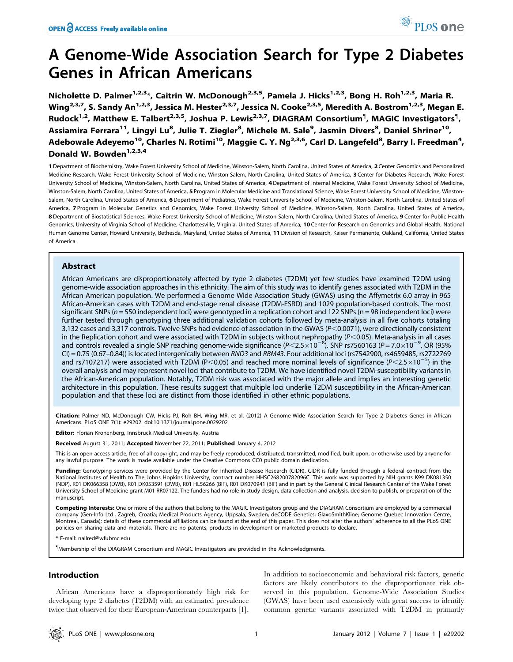# A Genome-Wide Association Search for Type 2 Diabetes Genes in African Americans

Nicholette D. Palmer<sup>1,2,3\*</sup>, Caitrin W. McDonough<sup>2,3,5</sup>, Pamela J. Hicks<sup>1,2,3</sup>, Bong H. Roh<sup>1,2,3</sup>, Maria R. Wing<sup>2,3,7</sup>, S. Sandy An<sup>1,2,3</sup>, Jessica M. Hester<sup>2,3,7</sup>, Jessica N. Cooke<sup>2,3,5</sup>, Meredith A. Bostrom<sup>1,2,3</sup>, Megan E. Rudock<sup>1,2</sup>, Matthew E. Talbert<sup>2,3,5</sup>, Joshua P. Lewis<sup>2,3,7</sup>, DIAGRAM Consortium<sup>¶</sup>, MAGIC Investigators<sup>¶</sup>, Assiamira Ferrara<sup>11</sup>, Lingyi Lu<sup>8</sup>, Julie T. Ziegler<sup>8</sup>, Michele M. Sale<sup>9</sup>, Jasmin Divers<sup>8</sup>, Daniel Shriner<sup>10</sup>, Adebowale Adeyemo<sup>10</sup>, Charles N. Rotimi<sup>10</sup>, Maggie C. Y. Ng<sup>2,3,6</sup>, Carl D. Langefeld<sup>8</sup>, Barry I. Freedman<sup>4</sup>, Donald W. Bowden<sup>1,2,3,4</sup>

1 Department of Biochemistry, Wake Forest University School of Medicine, Winston-Salem, North Carolina, United States of America, 2 Center Genomics and Personalized Medicine Research, Wake Forest University School of Medicine, Winston-Salem, North Carolina, United States of America, 3 Center for Diabetes Research, Wake Forest University School of Medicine, Winston-Salem, North Carolina, United States of America, 4 Department of Internal Medicine, Wake Forest University School of Medicine, Winston-Salem, North Carolina, United States of America, 5 Program in Molecular Medicine and Translational Science, Wake Forest University School of Medicine, Winston-Salem, North Carolina, United States of America, 6 Department of Pediatrics, Wake Forest University School of Medicine, Winston-Salem, North Carolina, United States of America, 7 Program in Molecular Genetics and Genomics, Wake Forest University School of Medicine, Winston-Salem, North Carolina, United States of America, 8 Department of Biostatistical Sciences, Wake Forest University School of Medicine, Winston-Salem, North Carolina, United States of America, 9 Center for Public Health Genomics, University of Virginia School of Medicine, Charlottesville, Virginia, United States of America, 10 Center for Research on Genomics and Global Health, National Human Genome Center, Howard University, Bethesda, Maryland, United States of America, 11 Division of Research, Kaiser Permanente, Oakland, California, United States of America

# Abstract

African Americans are disproportionately affected by type 2 diabetes (T2DM) yet few studies have examined T2DM using genome-wide association approaches in this ethnicity. The aim of this study was to identify genes associated with T2DM in the African American population. We performed a Genome Wide Association Study (GWAS) using the Affymetrix 6.0 array in 965 African-American cases with T2DM and end-stage renal disease (T2DM-ESRD) and 1029 population-based controls. The most significant SNPs ( $n = 550$  independent loci) were genotyped in a replication cohort and 122 SNPs ( $n = 98$  independent loci) were further tested through genotyping three additional validation cohorts followed by meta-analysis in all five cohorts totaling 3,132 cases and 3,317 controls. Twelve SNPs had evidence of association in the GWAS (P<0.0071), were directionally consistent in the Replication cohort and were associated with T2DM in subjects without nephropathy ( $P<$ 0.05). Meta-analysis in all cases and controls revealed a single SNP reaching genome-wide significance (P<2.5×10<sup>-8</sup>). SNP rs7560163 (P=7.0×10<sup>-9</sup>, OR (95% CI) = 0.75 (0.67–0.84)) is located intergenically between RND3 and RBM43. Four additional loci (rs7542900, rs4659485, rs2722769 and rs7107217) were associated with T2DM (P<0.05) and reached more nominal levels of significance (P<2.5×10<sup>-5</sup>) in the overall analysis and may represent novel loci that contribute to T2DM. We have identified novel T2DM-susceptibility variants in the African-American population. Notably, T2DM risk was associated with the major allele and implies an interesting genetic architecture in this population. These results suggest that multiple loci underlie T2DM susceptibility in the African-American population and that these loci are distinct from those identified in other ethnic populations.

Citation: Palmer ND, McDonough CW, Hicks PJ, Roh BH, Wing MR, et al. (2012) A Genome-Wide Association Search for Type 2 Diabetes Genes in African Americans. PLoS ONE 7(1): e29202. doi:10.1371/journal.pone.0029202

Editor: Florian Kronenberg, Innsbruck Medical University, Austria

Received August 31, 2011; Accepted November 22, 2011; Published January 4, 2012

This is an open-access article, free of all copyright, and may be freely reproduced, distributed, transmitted, modified, built upon, or otherwise used by anyone for any lawful purpose. The work is made available under the Creative Commons CC0 public domain dedication.

Funding: Genotyping services were provided by the Center for Inherited Disease Research (CIDR). CIDR is fully funded through a federal contract from the National Institutes of Health to The Johns Hopkins University, contract number HHSC268200782096C. This work was supported by NIH grants K99 DK081350 (NDP), R01 DK066358 (DWB), R01 DK053591 (DWB), R01 HL56266 (BIF), R01 DK070941 (BIF) and in part by the General Clinical Research Center of the Wake Forest University School of Medicine grant M01 RR07122. The funders had no role in study design, data collection and analysis, decision to publish, or preparation of the manuscript.

Competing Interests: One or more of the authors that belong to the MAGIC Investigators group and the DIAGRAM Consortium are employed by a commercial company (Gen-Info Ltd., Zagreb, Croatia; Medical Products Agency, Uppsala, Sweden; deCODE Genetics; GlaxoSmithKline; Genome Quebec Innovation Centre, Montreal, Canada); details of these commercial affiliations can be found at the end of this paper. This does not alter the authors' adherence to all the PLoS ONE policies on sharing data and materials. There are no patents, products in development or marketed products to declare.

E-mail: nallred@wfubmc.edu

" Membership of the DIAGRAM Consortium and MAGIC Investigators are provided in the Acknowledgments.

## Introduction

African Americans have a disproportionately high risk for developing type 2 diabetes (T2DM) with an estimated prevalence twice that observed for their European-American counterparts [1]. In addition to socioeconomic and behavioral risk factors, genetic factors are likely contributors to the disproportionate risk observed in this population. Genome-Wide Association Studies (GWAS) have been used extensively with great success to identify common genetic variants associated with T2DM in primarily

PLoS one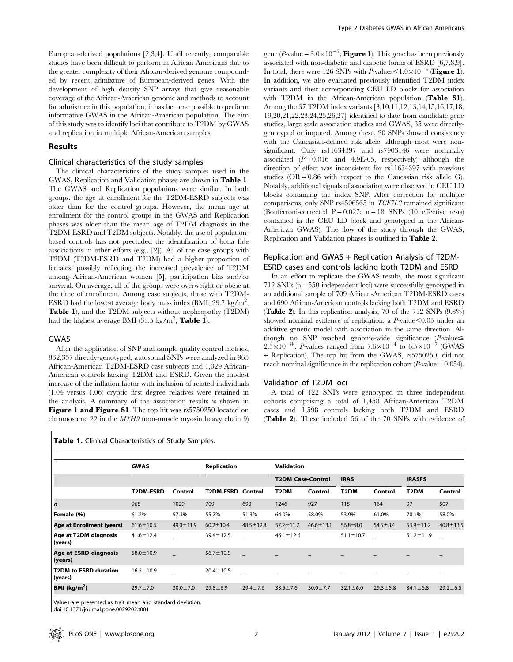European-derived populations [2,3,4]. Until recently, comparable studies have been difficult to perform in African Americans due to the greater complexity of their African-derived genome compounded by recent admixture of European-derived genes. With the development of high density SNP arrays that give reasonable coverage of the African-American genome and methods to account for admixture in this population, it has become possible to perform informative GWAS in the African-American population. The aim of this study was to identify loci that contribute to T2DM by GWAS and replication in multiple African-American samples.

#### Results

#### Clinical characteristics of the study samples

The clinical characteristics of the study samples used in the GWAS, Replication and Validation phases are shown in Table 1. The GWAS and Replication populations were similar. In both groups, the age at enrollment for the T2DM-ESRD subjects was older than for the control groups. However, the mean age at enrollment for the control groups in the GWAS and Replication phases was older than the mean age of T2DM diagnosis in the T2DM-ESRD and T2DM subjects. Notably, the use of populationbased controls has not precluded the identification of bona fide associations in other efforts (e.g., [2]). All of the case groups with T2DM (T2DM-ESRD and T2DM) had a higher proportion of females; possibly reflecting the increased prevalence of T2DM among African-American women [5], participation bias and/or survival. On average, all of the groups were overweight or obese at the time of enrollment. Among case subjects, those with T2DM-ESRD had the lowest average body mass index (BMI; 29.7 kg/m<sup>2</sup>, Table 1), and the T2DM subjects without nephropathy (T2DM) had the highest average BMI (33.5 kg/m<sup>2</sup>, Table 1).

#### GWAS

 $\blacksquare$ 

After the application of SNP and sample quality control metrics, 832,357 directly-genotyped, autosomal SNPs were analyzed in 965 African-American T2DM-ESRD case subjects and 1,029 African-American controls lacking T2DM and ESRD. Given the modest increase of the inflation factor with inclusion of related individuals (1.04 versus 1.06) cryptic first degree relatives were retained in the analysis. A summary of the association results is shown in Figure 1 and Figure S1. The top hit was rs5750250 located on chromosome 22 in the MYH9 (non-muscle myosin heavy chain 9)

gene (*P*-value =  $3.0 \times 10^{-7}$ , **Figure 1**). This gene has been previously associated with non-diabetic and diabetic forms of ESRD [6,7,8,9]. In total, there were 126 SNPs with P-values $\leq 1.0 \times 10^{-4}$  (Figure 1). In addition, we also evaluated previously identified T2DM index variants and their corresponding CEU LD blocks for association with T2DM in the African-American population (Table S1). Among the 37 T2DM index variants [3,10,11,12,13,14,15,16,17,18, 19,20,21,22,23,24,25,26,27] identified to date from candidate gene studies, large scale association studies and GWAS, 35 were directlygenotyped or imputed. Among these, 20 SNPs showed consistency with the Caucasian-defined risk allele, although most were nonsignificant. Only rs11634397 and rs7903146 were nominally associated  $(P= 0.016$  and 4.9E-05, respectively) although the direction of effect was inconsistent for rs11634397 with previous studies ( $OR = 0.86$  with respect to the Caucasian risk allele G). Notably, additional signals of association were observed in CEU LD blocks containing the index SNP. After correction for multiple comparisons, only SNP rs4506565 in TCF7L2 remained significant (Bonferroni-corrected  $P = 0.027$ ;  $n = 18$  SNPs (10 effective tests) contained in the CEU LD block and genotyped in the African-American GWAS). The flow of the study through the GWAS, Replication and Validation phases is outlined in Table 2.

# Replication and GWAS + Replication Analysis of T2DM-ESRD cases and controls lacking both T2DM and ESRD

In an effort to replicate the GWAS results, the most significant 712 SNPs (n = 550 independent loci) were successfully genotyped in an additional sample of 709 African-American T2DM-ESRD cases and 690 African-American controls lacking both T2DM and ESRD (Table 2). In this replication analysis, 70 of the 712 SNPs (9.8%) showed nominal evidence of replication: a  $P$ -value $\leq 0.05$  under an additive genetic model with association in the same direction. Although no SNP reached genome-wide significance  $(P\text{-value} \leq$  $2.5\times10^{-8}$ ), P-values ranged from  $7.6\times10^{-4}$  to  $6.5\times10^{-7}$  (GWAS + Replication). The top hit from the GWAS, rs5750250, did not reach nominal significance in the replication cohort ( $P$ -value = 0.054).

#### Validation of T2DM loci

A total of 122 SNPs were genotyped in three independent cohorts comprising a total of 1,458 African-American T2DM cases and 1,598 controls lacking both T2DM and ESRD (Table 2). These included 56 of the 70 SNPs with evidence of

|                                  | <b>GWAS</b>      |                 | <b>Replication</b> |                 | <b>Validation</b>        |                 |                   |                |                   |                 |
|----------------------------------|------------------|-----------------|--------------------|-----------------|--------------------------|-----------------|-------------------|----------------|-------------------|-----------------|
|                                  |                  |                 |                    |                 | <b>T2DM Case-Control</b> |                 | <b>IRAS</b>       |                | <b>IRASFS</b>     |                 |
|                                  | <b>T2DM-ESRD</b> | Control         | <b>T2DM-ESRD</b>   | Control         | T <sub>2</sub> DM        | Control         | T <sub>2</sub> DM | Control        | T <sub>2</sub> DM | Control         |
| $\vert n \vert$                  | 965              | 1029            | 709                | 690             | 1246                     | 927             | 115               | 164            | 97                | 507             |
| Female (%)                       | 61.2%            | 57.3%           | 55.7%              | 51.3%           | 64.0%                    | 58.0%           | 53.9%             | 61.0%          | 70.1%             | 58.0%           |
| Age at Enrollment (years)        | $61.6 \pm 10.5$  | $49.0 \pm 11.9$ | $60.2 \pm 10.4$    | $48.5 \pm 12.8$ | $57.2 \pm 11.7$          | $46.6 \pm 13.1$ | $56.8 \pm 8.0$    | $54.5 \pm 8.4$ | $53.9 \pm 11.2$   | $40.8 \pm 13.5$ |
| Age at T2DM diagnosis<br>(years) | $41.6 \pm 12.4$  |                 | $39.4 \pm 12.5$    |                 | $46.1 \pm 12.6$          |                 | $51.1 \pm 10.7$   |                | $51.2 \pm 11.9$   |                 |
| Age at ESRD diagnosis<br>(years) | $58.0 \pm 10.9$  |                 | $56.7 \pm 10.9$    |                 |                          |                 |                   |                |                   |                 |
| T2DM to ESRD duration<br>(years) | $16.2 \pm 10.9$  |                 | $20.4 \pm 10.5$    |                 |                          |                 |                   |                |                   |                 |
| BMI ( $kg/m2$ )                  | $29.7 \pm 7.0$   | $30.0 \pm 7.0$  | $29.8 \pm 6.9$     | $29.4 \pm 7.6$  | $33.5 \pm 7.6$           | $30.0 \pm 7.7$  | $32.1 \pm 6.0$    | $29.3 \pm 5.8$ | $34.1 \pm 6.8$    | $29.2 \pm 6.5$  |

Values are presented as trait mean and standard deviation.

doi:10.1371/journal.pone.0029202.t001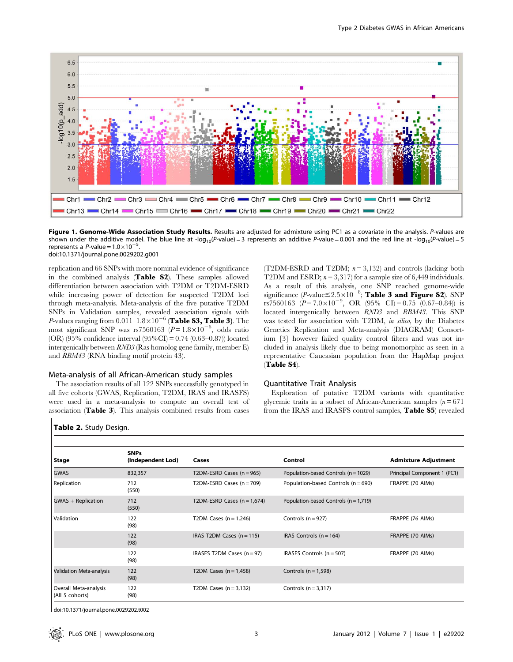

Figure 1. Genome-Wide Association Study Results. Results are adjusted for admixture using PC1 as a covariate in the analysis. P-values are shown under the additive model. The blue line at -log<sub>10</sub>(P-value) = 3 represents an additive P-value = 0.001 and the red line at -log<sub>10</sub>(P-value) = 5 represents a P-value =  $1.0 \times 10^{-5}$ . doi:10.1371/journal.pone.0029202.g001

replication and 66 SNPs with more nominal evidence of significance in the combined analysis (Table S2). These samples allowed differentiation between association with T2DM or T2DM-ESRD while increasing power of detection for suspected T2DM loci through meta-analysis. Meta-analysis of the five putative T2DM SNPs in Validation samples, revealed association signals with P-values ranging from  $0.011-1.8\times10^{-6}$  (Table S3, Table 3). The most significant SNP was rs7560163 ( $P = 1.8 \times 10^{-6}$ , odds ratio (OR) (95% confidence interval (95%CI) = 0.74 (0.63–0.87)) located intergenically between RND3 (Ras homolog gene family, member E) and RBM43 (RNA binding motif protein 43).

## Meta-analysis of all African-American study samples

The association results of all 122 SNPs successfully genotyped in all five cohorts (GWAS, Replication, T2DM, IRAS and IRASFS) were used in a meta-analysis to compute an overall test of association (Table 3). This analysis combined results from cases

(T2DM-ESRD and T2DM;  $n = 3,132$ ) and controls (lacking both T2DM and ESRD;  $n = 3,317$ ) for a sample size of 6,449 individuals. As a result of this analysis, one SNP reached genome-wide significance (*P*-value  $\leq 2.5 \times 10^{-8}$ ; Table 3 and Figure S2). SNP rs7560163 ( $\vec{P} = 7.0 \times 10^{-9}$ , OR (95% CI) = 0.75 (0.67–0.84)) is located intergenically between RND3 and RBM43. This SNP was tested for association with T2DM, in silico, by the Diabetes Genetics Replication and Meta-analysis (DIAGRAM) Consortium [3] however failed quality control filters and was not included in analysis likely due to being monomorphic as seen in a representative Caucasian population from the HapMap project (Table S4).

#### Quantitative Trait Analysis

Exploration of putative T2DM variants with quantitative glycemic traits in a subset of African-American samples  $(n = 671)$ from the IRAS and IRASFS control samples, Table S5) revealed

#### Table 2. Study Design.

|                                          | <b>SNPs</b>        |                               |                                           |                             |
|------------------------------------------|--------------------|-------------------------------|-------------------------------------------|-----------------------------|
| Stage                                    | (Independent Loci) | Cases                         | Control                                   | <b>Admixture Adjustment</b> |
| <b>GWAS</b>                              | 832,357            | T2DM-ESRD Cases $(n = 965)$   | Population-based Controls (n = 1029)      | Principal Component 1 (PC1) |
| Replication                              | 712<br>(550)       | T2DM-ESRD Cases $(n = 709)$   | Population-based Controls (n = 690)       | FRAPPE (70 AIMs)            |
| GWAS + Replication                       | 712<br>(550)       | T2DM-ESRD Cases $(n = 1,674)$ | Population-based Controls ( $n = 1.719$ ) |                             |
| Validation                               | 122<br>(98)        | T2DM Cases $(n = 1,246)$      | Controls ( $n = 927$ )                    | FRAPPE (76 AIMs)            |
|                                          | 122<br>(98)        | IRAS T2DM Cases $(n = 115)$   | IRAS Controls $(n = 164)$                 | FRAPPE (70 AIMs)            |
|                                          | 122<br>(98)        | IRASFS T2DM Cases $(n = 97)$  | IRASFS Controls $(n = 507)$               | FRAPPE (70 AIMs)            |
| Validation Meta-analysis                 | 122<br>(98)        | T2DM Cases $(n = 1,458)$      | Controls $(n = 1.598)$                    |                             |
| Overall Meta-analysis<br>(All 5 cohorts) | 122<br>(98)        | T2DM Cases $(n=3,132)$        | Controls $(n = 3,317)$                    |                             |

doi:10.1371/journal.pone.0029202.t002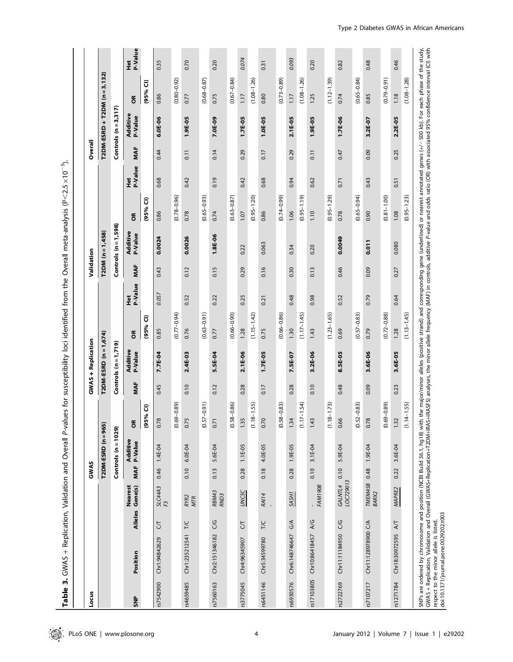| $\vdots$                     |
|------------------------------|
| ;                            |
|                              |
| i                            |
|                              |
| <br> <br> <br> <br> <br>     |
| l                            |
|                              |
|                              |
| i                            |
|                              |
|                              |
|                              |
|                              |
|                              |
|                              |
| .<br>)                       |
| ֚֡                           |
|                              |
|                              |
|                              |
|                              |
|                              |
|                              |
| Ication<br>j                 |
|                              |
|                              |
|                              |
|                              |
| $\frac{1}{2}$<br>u<br>B<br>B |
|                              |

| Locus      |                     |                |                       | GWAS |                            |                     |      | <b>GWAS + Replication</b>   |                  |                | Validation |                         |                            |                       | Overall |                            |                              |                          |
|------------|---------------------|----------------|-----------------------|------|----------------------------|---------------------|------|-----------------------------|------------------|----------------|------------|-------------------------|----------------------------|-----------------------|---------|----------------------------|------------------------------|--------------------------|
|            |                     |                |                       |      | $T2DM-ESRD$ $(n=965)$      |                     |      | T2DM-ESRD (n = 1,674)       |                  |                |            | $T2DM (n = 1,458)$      |                            |                       |         |                            | T2DM-ESRD + T2DM (n = 3,132) |                          |
|            |                     |                |                       |      | Controls $(n = 1029)$      |                     |      | Controls $(n = 1, 719)$     |                  |                |            | Controls $(n = 1, 598)$ |                            |                       |         | Controls $(n=3,317)$       |                              |                          |
| ŠNP        | Position            | <b>Alleles</b> | Nearest<br>Gene(s)    | MAF  | <b>Additive</b><br>P-Value | $\propto$<br>o      | MAF  | <b>Additive<br/>P-Value</b> | õ                | P-Value<br>Het | MAF        | Additive<br>P-Value     | $\epsilon$                 | P-Value<br><b>Fet</b> | MAF     | <b>Additive</b><br>P-Value | g                            | P-Value<br>$\frac{1}{2}$ |
|            |                     |                |                       |      |                            | (95% CI)            |      |                             | <u>ີ</u><br>(95% |                |            |                         | $\widehat{\sigma}$<br>(95% |                       |         |                            | $\widehat{\sigma}$<br>(95%   |                          |
| rs7542900  | Chr1:94842629       | 5              | SLC44A3<br>F3         | 0.46 | $1.4E-04$                  | 0.78                | 0.45 | 7.7E-04                     | 0.85             | 0.057          | 0.43       | 0.0024                  | 0.86                       | 0.68                  | 0.44    | 6.0E-06                    | 0.86                         | 0.35                     |
|            |                     |                |                       |      |                            | $(69 - 0.89)$<br>ల  |      |                             | $(0.77 - 0.94)$  |                |            |                         | $(0.78 - 0.96)$            |                       |         |                            | $(0.80 - 0.92)$              |                          |
| rs4659485  | Chr1:235212541      | <b>T/C</b>     | RYR2<br><b>MTR</b>    | 0.10 | 6.0E-04                    | 0.75                | 0.10 | 2.4E-03                     | 0.76             | 0.52           | 0.12       | 0.0026                  | 0.78                       | 0.42                  | 0.11    | 1.9E-05                    | 0.77                         | 0.70                     |
|            |                     |                |                       |      |                            | $(0.57 - 0.91)$     |      |                             | $(0.63 - 0.91)$  |                |            |                         | $(0.65 - 0.93)$            |                       |         |                            | $(0.68 - 0.87)$              |                          |
| rs7560163  | Chr2:151346182      | UG             | RBM43<br>RND3         | 0.13 | 5.6E-04                    | 0.71                | 0.12 | 5.5E-04                     | 0.77             | 0.22           | 0.15       | 1.8E-06                 | 0.74                       | 0.19                  | 0.14    | 7.0E-09                    | 0.75                         | 0.20                     |
|            |                     |                |                       |      |                            | $(0.58 - 0.86)$     |      |                             | $(0.66 - 0.90)$  |                |            |                         | $(0.63 - 0.87)$            |                       |         |                            | $(0.67 - 0.84)$              |                          |
| rs3775045  | Chr4:96345907       | 5              | <b>UNCSC</b>          | 0.28 | $1.1E-0.5$                 | 1.35                | 0.28 | 2.1E-06                     | 1.28             | 0.25           | 0.29       | 0.22                    | 1.07                       | 0.42                  | 0.29    | 1.7E-05                    | 1.17                         | 0.074                    |
|            |                     |                |                       |      |                            | $(1.18 - 1.55)$     |      |                             | $(1.15 - 1.42)$  |                |            |                         | $(0.95 - 1.20)$            |                       |         |                            | $(1.08 - 1.26)$              |                          |
| rs6451146  | Chr5:34599780       | $\frac{1}{2}$  | <b>RAI14</b>          | 0.18 | 4.0E-05                    | 0.70                | 0.17 | 1.7E-05                     | 0.75             | 0.21           | 0.16       | 0.063                   | 0.86                       | 0.68                  | 0.17    | $1.0E-0.5$                 | 0.80                         | 0.31                     |
|            |                     |                |                       |      |                            | $(.58 - 0.83)$<br>ల |      |                             | $(0.66 - 0.86)$  |                |            |                         | $(0.74 - 0.99)$            |                       |         |                            | $(0.73 - 0.89)$              |                          |
| rs6930576  | Chr6:148746647 G/A  |                | SASH1                 | 0.28 | 1.9E-05                    | 1.34                | 0.28 | 7.5E-07                     | 1.30             | 0.48           | 0.30       | 0.34                    | 1.06                       | 0.94                  | 0.29    | 2.1E-05                    | 1.17                         | 0.093                    |
|            |                     |                |                       |      |                            | $.17 - 1.54$<br>Ξ   |      |                             | $(1.17 - 1.45)$  |                |            |                         | $(0.95 - 1.19)$            |                       |         |                            | $(1.08 - 1.26)$              |                          |
| rs17103805 | Chr10:86418457      | 4/6            | FAM190B               | 0.10 | 3.1E-04                    | 1.43                | 0.10 | 3.2E-06                     | 1.43             | 0.98           | 0.13       | 0.20                    | 1.10                       | 0.62                  | 0.11    | 1.9E-05                    | 1.25                         | 0.20                     |
|            |                     |                |                       |      |                            | $(1.18 - 1.73)$     |      |                             | $(1.23 - 1.65)$  |                |            |                         | $(0.95 - 1.29)$            |                       |         |                            | $(1.12 - 1.39)$              |                          |
| rs2722769  | Chr11:11184950      | UG             | LOC729013<br>GALNTL4  | 0.10 | 5.9E-04                    | 66<br>ö             | 0.48 | 8.5E-05                     | 0.69             | 0.52           | 0.46       | 0.0049                  | 0.78                       | 0.71                  | 0.47    | $1.7E-06$                  | 0.74                         | 0.82                     |
|            |                     |                |                       |      |                            | $(0.52 - 0.83)$     |      |                             | $(0.57 - 0.83)$  |                |            |                         | $(0.65 - 0.94)$            |                       |         |                            | $(0.65 - 0.84)$              |                          |
| rs7107217  | Chr11:128978900 C/A |                | TMEM45B 0.48<br>BARX2 |      | 1.9E-04                    | 0.78                | 0.09 | 3.6E-06                     | 0.79             | 0.79           | 0.09       | 0.011                   | 0.90                       | 0.43                  | 0.09    | 3.2E-07                    | 0.85                         | 0.48                     |
|            |                     |                |                       |      |                            | $(69 - 0.89)$<br>ల  |      |                             | $(0.72 - 0.88)$  |                |            |                         | $(0.81 - 1.00)$            |                       |         |                            | $(0.79 - 0.91)$              |                          |
| rs1271784  | Chr18:30972595      | $\overline{M}$ | <b>MAPRE2</b>         | 0.22 | 3.6E-04                    | 1.32                | 0.23 | 3.6E-05                     | 1.28             | 0.64           | 0.27       | 0.080                   | 1.08                       | 0.51                  | 0.25    | 2.2E-05                    | 1.18                         | 0.46                     |
|            |                     |                |                       |      |                            | $.14 - 1.55$<br>Ξ   |      |                             | $(1.13 - 1.45)$  |                |            |                         | $(0.95 - 1.23)$            |                       |         |                            | $(1.08 - 1.28)$              |                          |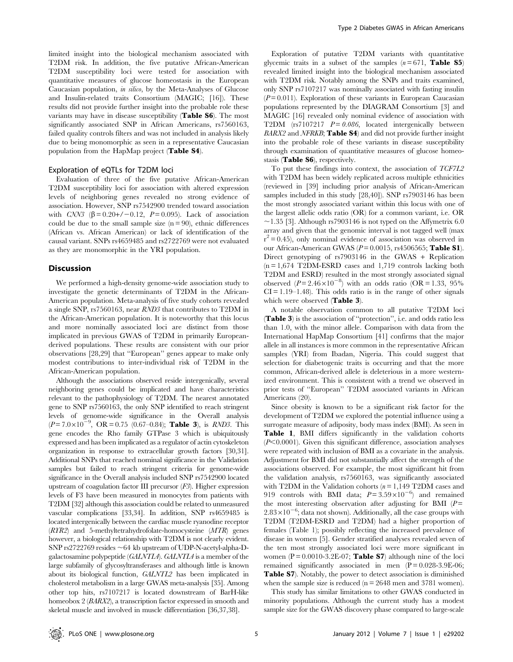limited insight into the biological mechanism associated with T2DM risk. In addition, the five putative African-American T2DM susceptibility loci were tested for association with quantitative measures of glucose homeostasis in the European Caucasian population, in silico, by the Meta-Analyses of Glucose and Insulin-related traits Consortium (MAGIC; [16]). These results did not provide further insight into the probable role these variants may have in disease susceptibility (Table S6). The most significantly associated SNP in African Americans, rs7560163, failed quality controls filters and was not included in analysis likely due to being monomorphic as seen in a representative Caucasian population from the HapMap project (Table S4).

#### Exploration of eQTLs for T2DM loci

Evaluation of three of the five putative African-American T2DM susceptibility loci for association with altered expression levels of neighboring genes revealed no strong evidence of association. However, SNP rs7542900 trended toward association with CNN3 ( $\beta$  = 0.20+/-0.12, P = 0.095). Lack of association could be due to the small sample size  $(n = 90)$ , ethnic differences (African vs. African American) or lack of identification of the causal variant. SNPs rs4659485 and rs2722769 were not evaluated as they are monomorphic in the YRI population.

#### Discussion

We performed a high-density genome-wide association study to investigate the genetic determinants of T2DM in the African-American population. Meta-analysis of five study cohorts revealed a single SNP, rs7560163, near RND3 that contributes to T2DM in the African-American population. It is noteworthy that this locus and more nominally associated loci are distinct from those implicated in previous GWAS of T2DM in primarily Europeanderived populations. These results are consistent with our prior observations [28,29] that ''European'' genes appear to make only modest contributions to inter-individual risk of T2DM in the African-American population.

Although the associations observed reside intergenically, several neighboring genes could be implicated and have characteristics relevant to the pathophysiology of T2DM. The nearest annotated gene to SNP rs7560163, the only SNP identified to reach stringent levels of genome-wide significance in the Overall analysis  $(P= 7.0 \times 10^{-9}$ , OR = 0.75 (0.67–0.84); Table 3), is *RND3*. This gene encodes the Rho family GTPase 3 which is ubiquitously expressed and has been implicated as a regulator of actin cytoskeleton organization in response to extracellular growth factors [30,31]. Additional SNPs that reached nominal significance in the Validation samples but failed to reach stringent criteria for genome-wide significance in the Overall analysis included SNP rs7542900 located upstream of coagulation factor III precursor  $(F3)$ . Higher expression levels of F3 have been measured in monocytes from patients with T2DM [32] although this association could be related to unmeasured vascular complications [33,34]. In addition, SNP rs4659485 is located intergenically between the cardiac muscle ryanodine receptor  $(RTR2)$  and 5-methyltetrahydrofolate-homocysteine  $(MTR)$  genes however, a biological relationship with T2DM is not clearly evident. SNP rs2722769 resides  $\sim$  64 kb upstream of UDP-N-acetyl-alpha-Dgalactosamine polypeptide (GALNTL4). GALNTL4 is a member of the large subfamily of glycosyltransferases and although little is known about its biological function, GALNTL2 has been implicated in cholesterol metabolism in a large GWAS meta-analysis [35]. Among other top hits, rs7107217 is located downstream of BarH-like homeobox 2 (BARX2), a transcription factor expressed in smooth and skeletal muscle and involved in muscle differentiation [36,37,38].

Exploration of putative T2DM variants with quantitative glycemic traits in a subset of the samples  $(n=671,$  Table S5) revealed limited insight into the biological mechanism associated with T2DM risk. Notably among the SNPs and traits examined, only SNP rs7107217 was nominally associated with fasting insulin  $(P= 0.011)$ . Exploration of these variants in European Caucasian populations represented by the DIAGRAM Consortium [3] and MAGIC [16] revealed only nominal evidence of association with T2DM (rs7107217  $P = 0.086$ , located intergenically between BARX2 and NFRKB; Table S4) and did not provide further insight into the probable role of these variants in disease susceptibility through examination of quantitative measures of glucose homeostasis (Table S6), respectively.

To put these findings into context, the association of TCF7L2 with T2DM has been widely replicated across multiple ethnicities (reviewed in [39] including prior analysis of African-American samples included in this study [28,40]). SNP rs7903146 has been the most strongly associated variant within this locus with one of the largest allelic odds ratio (OR) for a common variant, i.e. OR  $\sim$ 1.35 [3]. Although rs7903146 is not typed on the Affymetrix 6.0 array and given that the genomic interval is not tagged well (max  $r^2 = 0.45$ ), only nominal evidence of association was observed in our African-American GWAS ( $P = 0.0015$ , rs4506565; Table S1). Direct genotyping of rs7903146 in the GWAS + Replication  $(n = 1.674$  T2DM-ESRD cases and 1,719 controls lacking both T2DM and ESRD) resulted in the most strongly associated signal observed  $(P=2.46\times10^{-8})$  with an odds ratio (OR = 1.33, 95%)  $CI = 1.19 - 1.48$ . This odds ratio is in the range of other signals which were observed (Table 3).

A notable observation common to all putative T2DM loci (Table 3) is the association of ''protection'', i.e. and odds ratio less than 1.0, with the minor allele. Comparison with data from the International HapMap Consortium [41] confirms that the major allele in all instances is more common in the representative African samples (YRI) from Ibadan, Nigeria. This could suggest that selection for diabetogenic traits is occurring and that the more common, African-derived allele is deleterious in a more westernized environment. This is consistent with a trend we observed in prior tests of ''European'' T2DM associated variants in African Americans (20).

Since obesity is known to be a significant risk factor for the development of T2DM we explored the potential influence using a surrogate measure of adiposity, body mass index (BMI). As seen in Table 1, BMI differs significantly in the validation cohorts  $(P<0.0001)$ . Given this significant difference, association analyses were repeated with inclusion of BMI as a covariate in the analysis. Adjustment for BMI did not substantially affect the strength of the associations observed. For example, the most significant hit from the validation analysis, rs7560163, was significantly associated with T2DM in the Validation cohorts  $(n = 1,149$  T2DM cases and 919 controls with BMI data;  $P = 3.59 \times 10^{-6}$  and remained the most interesting observation after adjusting for BMI  $(P=$  $2.83\times10^{-6}$ ; data not shown). Additionally, all the case groups with T2DM (T2DM-ESRD and T2DM) had a higher proportion of females (Table 1); possibly reflecting the increased prevalence of disease in women [5]. Gender stratified analyses revealed seven of the ten most strongly associated loci were more significant in women ( $P = 0.0010 - 3.2E - 07$ ; Table S7) although nine of the loci remained significantly associated in men  $(P = 0.028 - 3.9E - 06;$ Table S7). Notably, the power to detect association is diminished when the sample size is reduced ( $n = 2648$  men and 3781 women).

This study has similar limitations to other GWAS conducted in minority populations. Although the current study has a modest sample size for the GWAS discovery phase compared to large-scale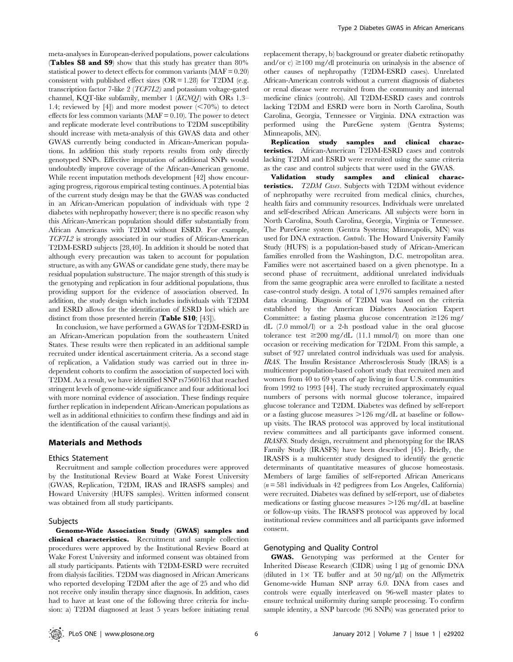meta-analyses in European-derived populations, power calculations (Tables S8 and S9) show that this study has greater than 80% statistical power to detect effects for common variants  $(MAF = 0.20)$ consistent with published effect sizes  $(OR = 1.28)$  for T2DM (e.g. transcription factor 7-like 2 (TCF7L2) and potassium voltage-gated channel, KQT-like subfamily, member 1 (KCNQ1) with ORs 1.3– 1.4; reviewed by [4]) and more modest power  $\leq 70\%$  to detect effects for less common variants ( $MAF = 0.10$ ). The power to detect and replicate moderate level contributions to T2DM susceptibility should increase with meta-analysis of this GWAS data and other GWAS currently being conducted in African-American populations. In addition this study reports results from only directly genotyped SNPs. Effective imputation of additional SNPs would undoubtedly improve coverage of the African-American genome. While recent imputation methods development [42] show encouraging progress, rigorous empirical testing continues. A potential bias of the current study design may be that the GWAS was conducted in an African-American population of individuals with type 2 diabetes with nephropathy however; there is no specific reason why this African-American population should differ substantially from African Americans with T2DM without ESRD. For example, TCF7L2 is strongly associated in our studies of African-American T2DM-ESRD subjects [28,40]. In addition it should be noted that although every precaution was taken to account for population structure, as with any GWAS or candidate gene study, there may be residual population substructure. The major strength of this study is the genotyping and replication in four additional populations, thus providing support for the evidence of association observed. In addition, the study design which includes individuals with T2DM and ESRD allows for the identification of ESRD loci which are distinct from those presented herein (Table S10; [43]).

In conclusion, we have performed a GWAS for T2DM-ESRD in an African-American population from the southeastern United States. These results were then replicated in an additional sample recruited under identical ascertainment criteria. As a second stage of replication, a Validation study was carried out in three independent cohorts to confirm the association of suspected loci with T2DM. As a result, we have identified SNP rs7560163 that reached stringent levels of genome-wide significance and four additional loci with more nominal evidence of association. These findings require further replication in independent African-American populations as well as in additional ethnicities to confirm these findings and aid in the identification of the causal variant(s).

#### Materials and Methods

#### Ethics Statement

Recruitment and sample collection procedures were approved by the Institutional Review Board at Wake Forest University (GWAS, Replication, T2DM, IRAS and IRASFS samples) and Howard University (HUFS samples). Written informed consent was obtained from all study participants.

#### Subjects

Genome-Wide Association Study (GWAS) samples and clinical characteristics. Recruitment and sample collection procedures were approved by the Institutional Review Board at Wake Forest University and informed consent was obtained from all study participants. Patients with T2DM-ESRD were recruited from dialysis facilities. T2DM was diagnosed in African Americans who reported developing T2DM after the age of 25 and who did not receive only insulin therapy since diagnosis. In addition, cases had to have at least one of the following three criteria for inclusion: a) T2DM diagnosed at least 5 years before initiating renal

replacement therapy, b) background or greater diabetic retinopathy and/or c)  $\geq$ 100 mg/dl proteinuria on urinalysis in the absence of other causes of nephropathy (T2DM-ESRD cases). Unrelated African-American controls without a current diagnosis of diabetes or renal disease were recruited from the community and internal medicine clinics (controls). All T2DM-ESRD cases and controls lacking T2DM and ESRD were born in North Carolina, South Carolina, Georgia, Tennessee or Virginia. DNA extraction was performed using the PureGene system (Gentra Systems; Minneapolis, MN).

Replication study samples and clinical characteristics. African-American T2DM-ESRD cases and controls lacking T2DM and ESRD were recruited using the same criteria as the case and control subjects that were used in the GWAS.

Validation study samples and clinical characteristics. T2DM Cases. Subjects with T2DM without evidence of nephropathy were recruited from medical clinics, churches, health fairs and community resources. Individuals were unrelated and self-described African Americans. All subjects were born in North Carolina, South Carolina, Georgia, Virginia or Tennessee. The PureGene system (Gentra Systems; Minneapolis, MN) was used for DNA extraction. Controls. The Howard University Family Study (HUFS) is a population-based study of African-American families enrolled from the Washington, D.C. metropolitan area. Families were not ascertained based on a given phenotype. In a second phase of recruitment, additional unrelated individuals from the same geographic area were enrolled to facilitate a nested case-control study design. A total of 1,976 samples remained after data cleaning. Diagnosis of T2DM was based on the criteria established by the American Diabetes Association Expert Committee: a fasting plasma glucose concentration  $\geq 126$  mg/ dL (7.0 mmol/l) or a 2-h postload value in the oral glucose tolerance test  $\geq 200$  mg/dL (11.1 mmol/l) on more than one occasion or receiving medication for T2DM. From this sample, a subset of 927 unrelated control individuals was used for analysis. IRAS. The Insulin Resistance Atherosclerosis Study (IRAS) is a multicenter population-based cohort study that recruited men and women from 40 to 69 years of age living in four U.S. communities from 1992 to 1993 [44]. The study recruited approximately equal numbers of persons with normal glucose tolerance, impaired glucose tolerance and T2DM. Diabetes was defined by self-report or a fasting glucose measures  $>126$  mg/dL at baseline or followup visits. The IRAS protocol was approved by local institutional review committees and all participants gave informed consent. IRASFS. Study design, recruitment and phenotyping for the IRAS Family Study (IRASFS) have been described [45]. Briefly, the IRASFS is a multicenter study designed to identify the genetic determinants of quantitative measures of glucose homeostasis. Members of large families of self-reported African Americans  $(n = 581$  individuals in 42 pedigrees from Los Angeles, California) were recruited. Diabetes was defined by self-report, use of diabetes medications or fasting glucose measures  $>126$  mg/dL at baseline or follow-up visits. The IRASFS protocol was approved by local institutional review committees and all participants gave informed consent.

## Genotyping and Quality Control

GWAS. Genotyping was performed at the Center for Inherited Disease Research (CIDR) using 1 µg of genomic DNA (diluted in  $1 \times$  TE buffer and at 50 ng/µl) on the Affymetrix Genome-wide Human SNP array 6.0. DNA from cases and controls were equally interleaved on 96-well master plates to ensure technical uniformity during sample processing. To confirm sample identity, a SNP barcode (96 SNPs) was generated prior to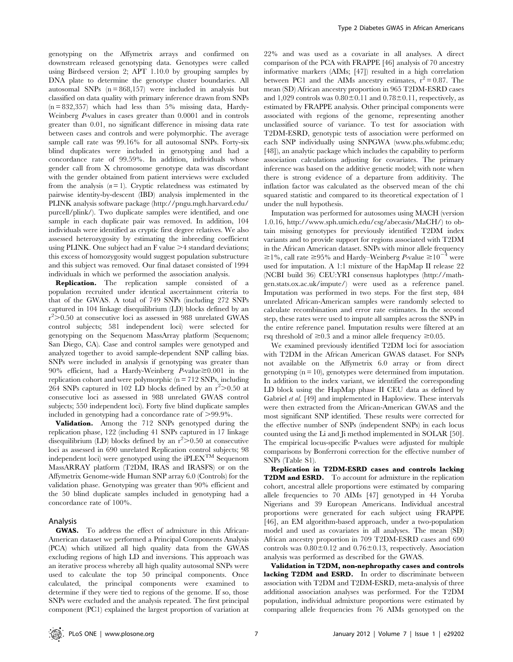genotyping on the Affymetrix arrays and confirmed on downstream released genotyping data. Genotypes were called using Birdseed version 2; APT 1.10.0 by grouping samples by DNA plate to determine the genotype cluster boundaries. All autosomal SNPs  $(n = 868, 157)$  were included in analysis but classified on data quality with primary inference drawn from SNPs  $(n = 832,357)$  which had less than 5% missing data, Hardy-Weinberg P-values in cases greater than 0.0001 and in controls greater than 0.01, no significant difference in missing data rate between cases and controls and were polymorphic. The average sample call rate was 99.16% for all autosomal SNPs. Forty-six blind duplicates were included in genotyping and had a concordance rate of 99.59%. In addition, individuals whose gender call from X chromosome genotype data was discordant with the gender obtained from patient interviews were excluded from the analysis  $(n=1)$ . Cryptic relatedness was estimated by pairwise identity-by-descent (IBD) analysis implemented in the PLINK analysis software package (http://pngu.mgh.harvard.edu/ purcell/plink/). Two duplicate samples were identified, and one sample in each duplicate pair was removed. In addition, 104 individuals were identified as cryptic first degree relatives. We also assessed heterozygosity by estimating the inbreeding coefficient using PLINK. One subject had an  $F$  value  $\geq 4$  standard deviations; this excess of homozygosity would suggest population substructure and this subject was removed. Our final dataset consisted of 1994 individuals in which we performed the association analysis.

Replication. The replication sample consisted of a population recruited under identical ascertainment criteria to that of the GWAS. A total of 749 SNPs (including 272 SNPs captured in 104 linkage disequilibrium (LD) blocks defined by an  $r^2$  > 0.50 at consecutive loci as assessed in 988 unrelated GWAS control subjects; 581 independent loci) were selected for genotyping on the Sequenom MassArray platform (Sequenom; San Diego, CA). Case and control samples were genotyped and analyzed together to avoid sample-dependent SNP calling bias. SNPs were included in analysis if genotyping was greater than 90% efficient, had a Hardy-Weinberg P-value $\geq 0.001$  in the replication cohort and were polymorphic ( $n = 712$  SNPs, including 264 SNPs captured in 102 LD blocks defined by an  $r^2 > 0.50$  at consecutive loci as assessed in 988 unrelated GWAS control subjects; 550 independent loci). Forty five blind duplicate samples included in genotyping had a concordance rate of  $>99.9\%$ .

Validation. Among the 712 SNPs genotyped during the replication phase, 122 (including 41 SNPs captured in 17 linkage disequilibrium (LD) blocks defined by an  $r^2 > 0.50$  at consecutive loci as assessed in 690 unrelated Replication control subjects; 98 independent loci) were genotyped using the iPLEXTM Sequenom MassARRAY platform (T2DM, IRAS and IRASFS) or on the Affymetrix Genome-wide Human SNP array 6.0 (Controls) for the validation phase. Genotyping was greater than 90% efficient and the 50 blind duplicate samples included in genotyping had a concordance rate of 100%.

## Analysis

GWAS. To address the effect of admixture in this African-American dataset we performed a Principal Components Analysis (PCA) which utilized all high quality data from the GWAS excluding regions of high LD and inversions. This approach was an iterative process whereby all high quality autosomal SNPs were used to calculate the top 50 principal components. Once calculated, the principal components were examined to determine if they were tied to regions of the genome. If so, those SNPs were excluded and the analysis repeated. The first principal component (PC1) explained the largest proportion of variation at

22% and was used as a covariate in all analyses. A direct comparison of the PCA with FRAPPE [46] analysis of 70 ancestry informative markers (AIMs; [47]) resulted in a high correlation between PC1 and the AIMs ancestry estimates,  $r^2 = 0.87$ . The mean (SD) African ancestry proportion in 965 T2DM-ESRD cases and 1,029 controls was  $0.80\pm0.11$  and  $0.78\pm0.11$ , respectively, as estimated by FRAPPE analysis. Other principal components were associated with regions of the genome, representing another unclassified source of variance. To test for association with T2DM-ESRD, genotypic tests of association were performed on each SNP individually using SNPGWA (www.phs.wfubmc.edu; [48]), an analytic package which includes the capability to perform association calculations adjusting for covariates. The primary inference was based on the additive genetic model; with note when there is strong evidence of a departure from additivity. The inflation factor was calculated as the observed mean of the chi squared statistic and compared to its theoretical expectation of 1 under the null hypothesis.

Imputation was performed for autosomes using MACH (version 1.0.16, http://www.sph.umich.edu/csg/abecasis/MaCH/) to obtain missing genotypes for previously identified T2DM index variants and to provide support for regions associated with T2DM in the African American dataset. SNPs with minor allele frequency  $\geq$ 1%, call rate  $\geq$ 95% and Hardy–Weinberg P-value  $\geq$ 10<sup>-4</sup> were used for imputation. A 1:1 mixture of the HapMap II release 22 (NCBI build 36) CEU:YRI consensus haplotypes (http://mathgen.stats.ox.ac.uk/impute/) were used as a reference panel. Imputation was performed in two steps. For the first step, 484 unrelated African-American samples were randomly selected to calculate recombination and error rate estimates. In the second step, these rates were used to impute all samples across the SNPs in the entire reference panel. Imputation results were filtered at an rsq threshold of  $\geq 0.3$  and a minor allele frequency  $\geq 0.05$ .

We examined previously identified T2DM loci for association with T2DM in the African American GWAS dataset. For SNPs not available on the Affymetrix 6.0 array or from direct genotyping  $(n = 10)$ , genotypes were determined from imputation. In addition to the index variant, we identified the corresponding LD block using the HapMap phase II CEU data as defined by Gabriel et al. [49] and implemented in Haploview. These intervals were then extracted from the African-American GWAS and the most significant SNP identified. These results were corrected for the effective number of SNPs (independent SNPs) in each locus counted using the Li and Ji method implemented in SOLAR [50]. The empirical locus-specific P-values were adjusted for multiple comparisons by Bonferroni correction for the effective number of SNPs (Table S1).

Replication in T2DM-ESRD cases and controls lacking T2DM and ESRD. To account for admixture in the replication cohort, ancestral allele proportions were estimated by comparing allele frequencies to 70 AIMs [47] genotyped in 44 Yoruba Nigerians and 39 European Americans. Individual ancestral proportions were generated for each subject using FRAPPE [46], an EM algorithm-based approach, under a two-population model and used as covariates in all analyses. The mean (SD) African ancestry proportion in 709 T2DM-ESRD cases and 690 controls was  $0.80 \pm 0.12$  and  $0.76 \pm 0.13$ , respectively. Association analysis was performed as described for the GWAS.

Validation in T2DM, non-nephropathy cases and controls lacking T2DM and ESRD. In order to discriminate between association with T2DM and T2DM-ESRD, meta-analysis of three additional association analyses was performed. For the T2DM population, individual admixture proportions were estimated by comparing allele frequencies from 76 AIMs genotyped on the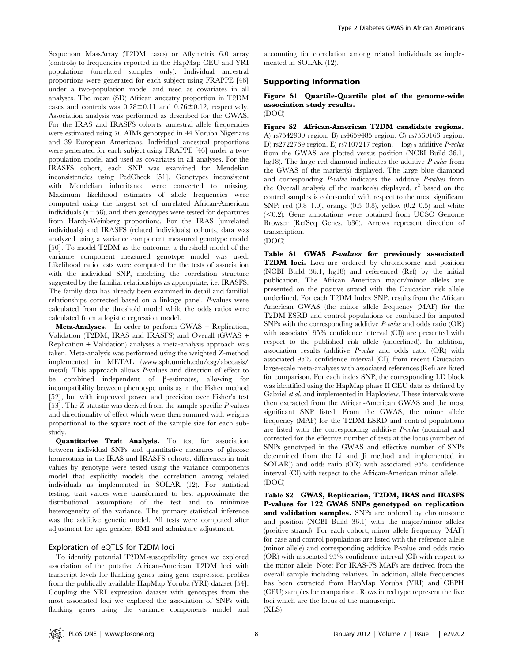Sequenom MassArray (T2DM cases) or Affymetrix 6.0 array (controls) to frequencies reported in the HapMap CEU and YRI populations (unrelated samples only). Individual ancestral proportions were generated for each subject using FRAPPE [46] under a two-population model and used as covariates in all analyses. The mean (SD) African ancestry proportion in T2DM cases and controls was  $0.78 \pm 0.11$  and  $0.76 \pm 0.12$ , respectively. Association analysis was performed as described for the GWAS. For the IRAS and IRASFS cohorts, ancestral allele frequencies were estimated using 70 AIMs genotyped in 44 Yoruba Nigerians and 39 European Americans. Individual ancestral proportions were generated for each subject using FRAPPE [46] under a twopopulation model and used as covariates in all analyses. For the IRASFS cohort, each SNP was examined for Mendelian inconsistencies using PedCheck [51]. Genotypes inconsistent with Mendelian inheritance were converted to missing. Maximum likelihood estimates of allele frequencies were computed using the largest set of unrelated African-American individuals  $(n = 58)$ , and then genotypes were tested for departures from Hardy-Weinberg proportions. For the IRAS (unrelated individuals) and IRASFS (related individuals) cohorts, data was analyzed using a variance component measured genotype model [50]. To model T2DM as the outcome, a threshold model of the variance component measured genotype model was used. Likelihood ratio tests were computed for the tests of association with the individual SNP, modeling the correlation structure suggested by the familial relationships as appropriate, i.e. IRASFS. The family data has already been examined in detail and familial relationships corrected based on a linkage panel. P-values were calculated from the threshold model while the odds ratios were calculated from a logistic regression model.

Meta-Analyses. In order to perform GWAS + Replication, Validation (T2DM, IRAS and IRASFS) and Overall (GWAS + Replication + Validation) analyses a meta-analysis approach was taken. Meta-analysis was performed using the weighted Z-method implemented in METAL (www.sph.umich.edu/csg/abecasis/ metal). This approach allows P-values and direction of effect to be combined independent of  $\beta$ -estimates, allowing for incompatibility between phenotype units as in the Fisher method [52], but with improved power and precision over Fisher's test [53]. The Z-statistic was derived from the sample-specific P-values and directionality of effect which were then summed with weights proportional to the square root of the sample size for each substudy.

Quantitative Trait Analysis. To test for association between individual SNPs and quantitative measures of glucose homeostasis in the IRAS and IRASFS cohorts, differences in trait values by genotype were tested using the variance components model that explicitly models the correlation among related individuals as implemented in SOLAR (12). For statistical testing, trait values were transformed to best approximate the distributional assumptions of the test and to minimize heterogeneity of the variance. The primary statistical inference was the additive genetic model. All tests were computed after adjustment for age, gender, BMI and admixture adjustment.

## Exploration of eQTLS for T2DM loci

To identify potential T2DM-susceptibility genes we explored association of the putative African-American T2DM loci with transcript levels for flanking genes using gene expression profiles from the publically available HapMap Yoruba (YRI) dataset [54]. Coupling the YRI expression dataset with genotypes from the most associated loci we explored the association of SNPs with flanking genes using the variance components model and accounting for correlation among related individuals as implemented in SOLAR (12).

## Supporting Information

## Figure S1 Quartile-Quartile plot of the genome-wide association study results. (DOC)

Figure S2 African-American T2DM candidate regions. A) rs7542900 region. B) rs4659485 region. C) rs7560163 region. D) rs2722769 region. E) rs7107217 region.  $-\log_{10}$  additive *P-value* from the GWAS are plotted versus position (NCBI Build 36.1, hg18). The large red diamond indicates the additive *P-value* from the GWAS of the marker(s) displayed. The large blue diamond and corresponding P-value indicates the additive P-values from the Overall analysis of the marker(s) displayed.  $r^2$  based on the control samples is color-coded with respect to the most significant SNP: red  $(0.8-1.0)$ , orange  $(0.5-0.8)$ , yellow  $(0.2-0.5)$  and white  $(<0.2$ ). Gene annotations were obtained from UCSC GenomeBrowser (RefSeq Genes, b36). Arrows represent direction of transcription.

(DOC)

Table S1 GWAS P-values for previously associated T2DM loci. Loci are ordered by chromosome and position (NCBI Build 36.1, hg18) and referenced (Ref) by the initial publication. The African American major/minor alleles are presented on the positive strand with the Caucasian risk allele underlined. For each T2DM Index SNP, results from the African American GWAS (the minor allele frequency (MAF) for the T2DM-ESRD and control populations or combined for imputed SNPs with the corresponding additive  $P$ -value and odds ratio (OR) with associated 95% confidence interval (CI)) are presented with respect to the published risk allele (underlined). In addition, association results (additive P-value and odds ratio (OR) with associated 95% confidence interval (CI)) from recent Caucasian large-scale meta-analyses with associated references (Ref) are listed for comparison. For each index SNP, the corresponding LD block was identified using the HapMap phase II CEU data as defined by Gabriel et al. and implemented in Haploview. These intervals were then extracted from the African-American GWAS and the most significant SNP listed. From the GWAS, the minor allele frequency (MAF) for the T2DM-ESRD and control populations are listed with the corresponding additive P-value (nominal and corrected for the effective number of tests at the locus (number of SNPs genotyped in the GWAS and effective number of SNPs determined from the Li and Ji method and implemented in SOLAR)) and odds ratio (OR) with associated 95% confidence interval (CI) with respect to the African-American minor allele. (DOC)

Table S2 GWAS, Replication, T2DM, IRAS and IRASFS P-values for 122 GWAS SNPs genotyped on replication and validation samples. SNPs are ordered by chromosome and position (NCBI Build 36.1) with the major/minor alleles (positive strand). For each cohort, minor allele frequency (MAF) for case and control populations are listed with the reference allele (minor allele) and corresponding additive P-value and odds ratio (OR) with associated 95% confidence interval (CI) with respect to the minor allele. Note: For IRAS-FS MAFs are derived from the overall sample including relatives. In addition, allele frequencies has been extracted from HapMap Yoruba (YRI) and CEPH (CEU) samples for comparison. Rows in red type represent the five loci which are the focus of the manuscript.

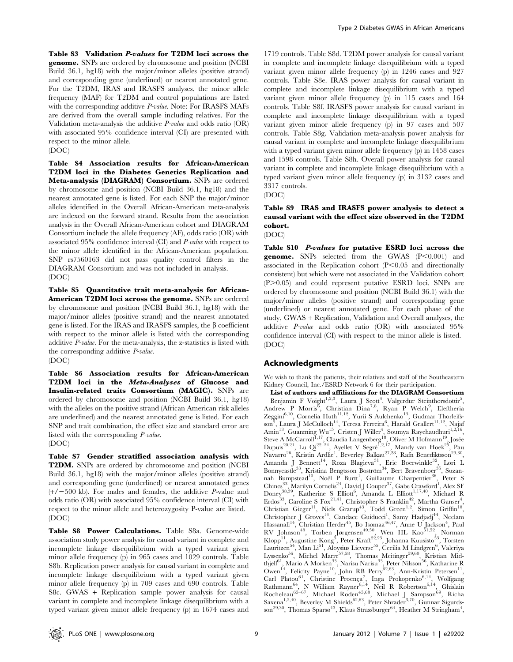Table S3 Validation P-values for T2DM loci across the genome. SNPs are ordered by chromosome and position (NCBI Build 36.1, hg18) with the major/minor alleles (positive strand) and corresponding gene (underlined) or nearest annotated gene. For the T2DM, IRAS and IRASFS analyses, the minor allele frequency (MAF) for T2DM and control populations are listed with the corresponding additive P-value. Note: For IRASFS MAFs are derived from the overall sample including relatives. For the Validation meta-analysis the additive  $P$ -value and odds ratio  $(OR)$ with associated 95% confidence interval (CI) are presented with respect to the minor allele. (DOC)

Table S4 Association results for African-American T2DM loci in the Diabetes Genetics Replication and Meta-analysis (DIAGRAM) Consortium. SNPs are ordered by chromosome and position (NCBI Build 36.1, hg18) and the nearest annotated gene is listed. For each SNP the major/minor alleles identified in the Overall African-American meta-analysis are indexed on the forward strand. Results from the association analysis in the Overall African-American cohort and DIAGRAM Consortium include the allele frequency (AF), odds ratio (OR) with associated 95% confidence interval (CI) and P-value with respect to the minor allele identified in the African-American population. SNP rs7560163 did not pass quality control filters in the DIAGRAM Consortium and was not included in analysis. (DOC)

Table S5 Quantitative trait meta-analysis for African-American T2DM loci across the genome. SNPs are ordered by chromosome and position (NCBI Build 36.1, hg18) with the major/minor alleles (positive strand) and the nearest annotated gene is listed. For the IRAS and IRASFS samples, the  $\beta$  coefficient with respect to the minor allele is listed with the corresponding additive P-value. For the meta-analysis, the z-statistics is listed with the corresponding additive P-value.

(DOC)

Table S6 Association results for African-American T2DM loci in the Meta-Analyses of Glucose and Insulin-related traits Consortium (MAGIC). SNPs are ordered by chromosome and position (NCBI Build 36.1, hg18) with the alleles on the positive strand (African American risk alleles are underlined) and the nearest annotated gene is listed. For each SNP and trait combination, the effect size and standard error are listed with the corresponding P-value.

(DOC)

Table S7 Gender stratified association analysis with T2DM. SNPs are ordered by chromosome and position (NCBI Build 36.1, hg18) with the major/minor alleles (positive strand) and corresponding gene (underlined) or nearest annotated genes  $(+/-500$  kb). For males and females, the additive P-value and odds ratio (OR) with associated 95% confidence interval (CI) with respect to the minor allele and heterozygosity P-value are listed. (DOC)

Table S8 Power Calculations. Table S8a. Genome-wide association study power analysis for causal variant in complete and incomplete linkage disequilibrium with a typed variant given minor allele frequency (p) in 965 cases and 1029 controls. Table S8b. Replication power analysis for causal variant in complete and incomplete linkage disequilibrium with a typed variant given minor allele frequency (p) in 709 cases and 690 controls. Table S8c. GWAS + Replication sample power analysis for causal variant in complete and incomplete linkage disequilibrium with a typed variant given minor allele frequency (p) in 1674 cases and

1719 controls. Table S8d. T2DM power analysis for causal variant in complete and incomplete linkage disequilibrium with a typed variant given minor allele frequency (p) in 1246 cases and 927 controls. Table S8e. IRAS power analysis for causal variant in complete and incomplete linkage disequilibrium with a typed variant given minor allele frequency (p) in 115 cases and 164 controls. Table S8f. IRASFS power analysis for causal variant in complete and incomplete linkage disequilibrium with a typed variant given minor allele frequency (p) in 97 cases and 507 controls. Table S8g. Validation meta-analysis power analysis for causal variant in complete and incomplete linkage disequilibrium with a typed variant given minor allele frequency (p) in 1458 cases and 1598 controls. Table S8h. Overall power analysis for causal variant in complete and incomplete linkage disequilibrium with a typed variant given minor allele frequency (p) in 3132 cases and 3317 controls.

(DOC)

# Table S9 IRAS and IRASFS power analysis to detect a causal variant with the effect size observed in the T2DM cohort.

(DOC)

Table S10 P-values for putative ESRD loci across the **genome.** SNPs selected from the GWAS  $(P<0.001)$  and associated in the Replication cohort  $(P<0.05$  and directionally consistent) but which were not associated in the Validation cohort (P>0.05) and could represent putative ESRD loci. SNPs are ordered by chromosome and position (NCBI Build 36.1) with the major/minor alleles (positive strand) and corresponding gene (underlined) or nearest annotated gene. For each phase of the study, GWAS + Replication, Validation and Overall analyses, the additive P-value and odds ratio (OR) with associated 95% confidence interval (CI) with respect to the minor allele is listed. (DOC)

# Acknowledgments

We wish to thank the patients, their relatives and staff of the Southeastern Kidney Council, Inc./ESRD Network 6 for their participation.

List of authors and affiliations for the DIAGRAM Consortium Benjamin F Voight<sup>1,2,3</sup>, Laura J Scott<sup>4</sup>, Valgerdur Steinthorsdottir<sup>5</sup>, Andrew P Morris<sup>6</sup>, Christian Dina<sup>7,8</sup>, Ryan P Welch<sup>9</sup> Andrew P Morris<sup>o</sup>, Christian Dina'<sup>,</sup>°, Ryan P Welch<sup>y</sup>, Eleftheria<br>Zeggini<sup>6,10</sup>, Cornelia Huth<sup>11,12</sup>, Yurii S Aulchenko<sup>13</sup>, Gudmar Thorleifsson<sup>5</sup>, Laura J McCulloch<sup>14</sup>, Teresa Ferreira<sup>6</sup>, Harald Grallert<sup>11,12</sup>, Najaf Amin<sup>13</sup>, Guanming Wu<sup>15</sup>, Cristen J Willer<sup>4</sup>, Soumya Raychaudhuri<sup>1,2,16</sup>, Steve A McCarroll<sup>1,17</sup>, Claudia Langenberg<sup>18</sup>, Oliver M Hofmann<sup>19</sup>, Josée Dupuis<sup>20,21</sup>, Lu Qi<sup>22-24</sup>, Ayellet V Segrè<sup>1,2,17</sup>, Mandy van Hoek<sup>25</sup>, Pau Navarro<sup>26</sup>, Kristin Ardlie<sup>1</sup>, Beverley Balkau<sup>27,28</sup>, Rafn Benediktsson<sup>29,30</sup>, Amanda J Bennett<sup>14</sup>, Roza Blagieva<sup>31</sup>, Eric Boerwinkle<sup>32</sup>, Lori L Bonnycastle<sup>33</sup>, Kristina Bengtsson Boström<sup>34</sup>, Bert Bravenboer<sup>35</sup>, Suzannah Bumpstead<sup>10</sup>, Noël P Burtt<sup>1</sup>, Guillaume Charpentier<sup>36</sup>, Peter S Chines<sup>33</sup>, Marilyn Cornelis<sup>24</sup>, David J Couper<sup>37</sup>, Gabe Crawford<sup>1</sup>, Alex SF Doney<sup>38,39</sup>, Katherine S Elliott<sup>6</sup>, Amanda L Elliott<sup>1,17,40</sup>, Michael R Erdos<sup>33</sup>, Caroline S Fox<sup>21,41</sup>, Christopher S Franklin<sup>42</sup>, Martha Ganser<sup>4</sup>, Christian Gieger<sup>11</sup>, Niels Grarup<sup>43</sup>, Todd Green<sup>1,2</sup>, Simon Griffin<sup>18</sup>, Christopher J Groves<sup>14</sup>, Candace Guiducci<sup>1</sup>, Samy Hadjadj<sup>44</sup>, Neelam Hassanali<sup>14</sup>, Christian Herder<sup>45</sup>, Bo Isomaa<sup>46,47</sup>, Anne U Jackson<sup>4</sup>, Paul<br>RV Johnson<sup>48</sup>, Torben Jørgensen<sup>49,50</sup>, Wen HL Kao<sup>51,52</sup>, Norman  $\text{Klopp}^{11}$ , Augustine  $\text{Kong}^5$ , Peter Kraft<sup>22,23</sup>, Johanna Kuusisto<sup>53</sup>, Torsten Lauritzen<sup>54</sup>, Man Li<sup>51</sup>, Aloysius Lieverse<sup>55</sup>, Cecilia M Lindgren<sup>6</sup>, Valeriya<br>Lyssenko<sup>56</sup>, Michel Marre<sup>57,58</sup>, Thomas Meitinger<sup>59,60</sup>, Kristian Midthjell<sup>61</sup>, Mario A Morken<sup>33</sup>, Narisu Narisu<sup>33</sup>, Peter Nilsson<sup>56</sup>, Katharine R Owen<sup>14</sup>, Felicity Payne<sup>10</sup>, John RB Perry<sup>62,63</sup>, Ann-Kristin Petersen<sup>11</sup>, Carl Platou<sup>61</sup>, Christine Proença<sup>7</sup>, Inga Prokopenko<sup>6,14</sup>, Wolfgang Rathmann<sup>64</sup>, N William Rayner<sup>6,14</sup>, Neil R Robertson<sup>6,14</sup>, Ghislain Rocheleau<sup>65–67</sup>, Michael Roden<sup>45,68</sup>, Michael J Sampson<sup>69</sup>, Richa Saxena<sup>1,2,40</sup>, Beverley M Shields<sup>62,63</sup>, Peter Shrader<sup>3,70</sup>, Gunnar Sigurdsson<sup>29,30</sup>, Thomas Sparsø<sup>43</sup>, Klaus Strassburger<sup>64</sup>, Heather M Stringham<sup>4</sup>,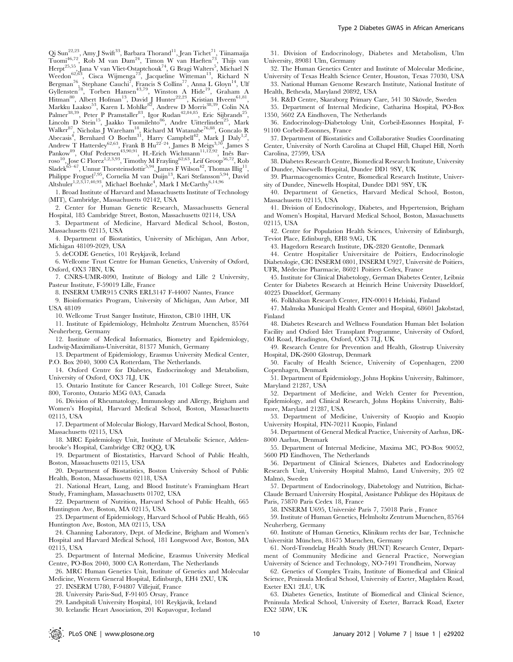Qi Sun<sup>22,23</sup>, Amy J Swift<sup>33</sup>, Barbara Thorand<sup>11</sup>, Jean Tichet<sup>71</sup>, Tiinamaija Tuomi<sup>46,72</sup>, Rob M van Dam<sup>24</sup>, Timon W van Haeften<sup>73</sup>, Thijs van Herpt<sup>25,55</sup>, Jana V van Vliet-Ostaptchouk<sup>74</sup>, G Bragi Walters<sup>5</sup>, Michael N<br>Weedon<sup>62,63</sup>, Cisca Wijmenga<sup>75</sup>, Jacqueline Witteman<sup>13</sup>, Richard N Bergman<sup>76</sup>, Stephane Cauchi<sup>7</sup>, Francis S Collins<sup>77</sup>, Anna L Gloyn<sup>14</sup>, Ulf Gyllensten<sup>78</sup>, Torben Hansen<sup>43,79</sup>, Winston A Hide<sup>19</sup>, Graham A Hitman<sup>80</sup>, Albert Hofman<sup>13</sup>, David J Hunter<sup>22,23</sup>, Kristian Hveem<sup>61,81</sup>, Markku Laakso<sup>53</sup>, Karen L Mohlke<sup>82</sup>, Andrew D Morris<sup>38,39</sup>, Colin NA Palmer<sup>38,39</sup>, Peter P Pramstaller<sup>83</sup>, Igor Rudan<sup>42,84,85</sup>, Eric Sijbrands<sup>25</sup> Lincoln D Stein<sup>15</sup>, Jaakko Tuomilehto<sup>86</sup>, Andre Uitterlinden<sup>25</sup>, Mark Walker $^{87}$ , Nicholas J Wareham<sup>18</sup>, Richard M Watanabe<sup>76,88</sup>, Goncalo R Abecasis<sup>4</sup>, Bernhard O Boehm<sup>31</sup>, Harry Campbell<sup>42</sup>, Mark J Daly<sup>1,2</sup>, Andrew T Hattersley $^{62,63}$ , Frank B Hu $^{22-24}$ , James B Meigs $^{3,70}$ , James S Pankow<sup>89</sup>, Oluf Pedersen<sup>43,90,91</sup>, H.-Erich Wichmann<sup>11,12,92</sup>, Inês Bar- $\mathrm{roso}^{10}, \mathrm{Jose} \gets \mathrm{Florez}^{1,2,3,93}, \mathrm{Timothy} \ \mathrm{Mrayling}^{62,63}, \mathrm{Leif} \ \mathrm{Groop}^{56,72}, \mathrm{Rob}$ Sladek<sup>65–67</sup>, Unnur Thorsteinsdottir<sup>5,94</sup>, James F Wilson<sup>42</sup>, Thomas Illig<sup>11</sup> Philippe Froguel<sup>7,95</sup>, Cornelia M van Duijn<sup>13</sup>, Kari Stefansson<sup>5,94</sup>, David Altshuler<sup>1,2,3,17,40,93</sup>, Michael Boehnke<sup>4</sup>, Mark I McCarthy<sup>6,14,96</sup>

1. Broad Institute of Harvard and Massachusetts Institute of Technology (MIT), Cambridge, Massachusetts 02142, USA

2. Center for Human Genetic Research, Massachusetts General Hospital, 185 Cambridge Street, Boston, Massachusetts 02114, USA

3. Department of Medicine, Harvard Medical School, Boston, Massachusetts 02115, USA

4. Department of Biostatistics, University of Michigan, Ann Arbor, Michigan 48109-2029, USA

5. deCODE Genetics, 101 Reykjavik, Iceland

6. Wellcome Trust Centre for Human Genetics, University of Oxford, Oxford, OX3 7BN, UK

7. CNRS-UMR-8090, Institute of Biology and Lille 2 University, Pasteur Institute, F-59019 Lille, France

8. INSERM UMR915 CNRS ERL3147 F-44007 Nantes, France

9. Bioinformatics Program, University of Michigan, Ann Arbor, MI USA 48109

10. Wellcome Trust Sanger Institute, Hinxton, CB10 1HH, UK

11. Institute of Epidemiology, Helmholtz Zentrum Muenchen, 85764 Neuherberg, Germany

12. Institute of Medical Informatics, Biometry and Epidemiology, Ludwig-Maximilians-Universität, 81377 Munich, Germany

13. Department of Epidemiology, Erasmus University Medical Center, P.O. Box 2040, 3000 CA Rotterdam, The Netherlands.

14. Oxford Centre for Diabetes, Endocrinology and Metabolism, University of Oxford, OX3 7LJ, UK

15. Ontario Institute for Cancer Research, 101 College Street, Suite 800, Toronto, Ontario M5G 0A3, Canada

16. Division of Rheumatology, Immunology and Allergy, Brigham and Women's Hospital, Harvard Medical School, Boston, Massachusetts 02115, USA

17. Department of Molecular Biology, Harvard Medical School, Boston, Massachusetts 02115, USA

18. MRC Epidemiology Unit, Institute of Metabolic Science, Addenbrooke's Hospital, Cambridge CB2 0QQ, UK

19. Department of Biostatistics, Harvard School of Public Health, Boston, Massachusetts 02115, USA

20. Department of Biostatistics, Boston University School of Public Health, Boston, Massachusetts 02118, USA

21. National Heart, Lung, and Blood Institute's Framingham Heart Study, Framingham, Massachusetts 01702, USA

22. Department of Nutrition, Harvard School of Public Health, 665 Huntington Ave, Boston, MA 02115, USA

23. Department of Epidemiology, Harvard School of Public Health, 665 Huntington Ave, Boston, MA 02115, USA

24. Channing Laboratory, Dept. of Medicine, Brigham and Women's Hospital and Harvard Medical School, 181 Longwood Ave, Boston, MA 02115, USA

25. Department of Internal Medicine, Erasmus University Medical Centre, PO-Box 2040, 3000 CA Rotterdam, The Netherlands

26. MRC Human Genetics Unit, Institute of Genetics and Molecular Medicine, Western General Hospital, Edinburgh, EH4 2XU, UK

27. INSERM U780, F-94807 Villejuif, France

28. University Paris-Sud, F-91405 Orsay, France

29. Landspitali University Hospital, 101 Reykjavik, Iceland

30. Icelandic Heart Association, 201 Kopavogur, Iceland

31. Division of Endocrinology, Diabetes and Metabolism, Ulm University, 89081 Ulm, Germany

32. The Human Genetics Center and Institute of Molecular Medicine, University of Texas Health Science Center, Houston, Texas 77030, USA

33. National Human Genome Research Institute, National Institute of Health, Bethesda, Maryland 20892, USA

34. R&D Centre, Skaraborg Primary Care, 541 30 Skövde, Sweden

35. Department of Internal Medicine, Catharina Hospital, PO-Box 1350, 5602 ZA Eindhoven, The Netherlands

36. Endocrinology-Diabetology Unit, Corbeil-Essonnes Hospital, F-91100 Corbeil-Essonnes, France

37. Department of Biostatistics and Collaborative Studies Coordinating Center, University of North Carolina at Chapel Hill, Chapel Hill, North Carolina, 27599, USA

38. Diabetes Research Centre, Biomedical Research Institute, University of Dundee, Ninewells Hospital, Dundee DD1 9SY, UK

39. Pharmacogenomics Centre, Biomedical Research Institute, University of Dundee, Ninewells Hospital, Dundee DD1 9SY, UK

40. Department of Genetics, Harvard Medical School, Boston, Massachusetts 02115, USA

41. Division of Endocrinology, Diabetes, and Hypertension, Brigham and Women's Hospital, Harvard Medical School, Boston, Massachusetts 02115, USA

42. Centre for Population Health Sciences, University of Edinburgh, Teviot Place, Edinburgh, EH8 9AG, UK

43. Hagedorn Research Institute, DK-2820 Gentofte, Denmark

44. Centre Hospitalier Universitaire de Poitiers, Endocrinologie Diabetologie, CIC INSERM 0801, INSERM U927, Université de Poitiers, UFR, Médecine Pharmacie, 86021 Poitiers Cedex, France

45. Institute for Clinical Diabetology, German Diabetes Center, Leibniz Center for Diabetes Research at Heinrich Heine University Düsseldorf, 40225 Düsseldorf, Germany

46. Folkhälsan Research Center, FIN-00014 Helsinki, Finland

47. Malmska Municipal Health Center and Hospital, 68601 Jakobstad, Finland

48. Diabetes Research and Wellness Foundation Human Islet Isolation Facility and Oxford Islet Transplant Programme, University of Oxford, Old Road, Headington, Oxford, OX3 7LJ, UK

49. Research Centre for Prevention and Health, Glostrup University Hospital, DK-2600 Glostrup, Denmark

50. Faculty of Health Science, University of Copenhagen, 2200 Copenhagen, Denmark

51. Department of Epidemiology, Johns Hopkins University, Baltimore, Maryland 21287, USA

52. Department of Medicine, and Welch Center for Prevention, Epidemiology, and Clinical Research, Johns Hopkins University, Baltimore, Maryland 21287, USA

53. Department of Medicine, University of Kuopio and Kuopio University Hospital, FIN-70211 Kuopio, Finland

54. Department of General Medical Practice, University of Aarhus, DK-8000 Aarhus, Denmark

55. Department of Internal Medicine, Maxima MC, PO-Box 90052, 5600 PD Eindhoven, The Netherlands

56. Department of Clinical Sciences, Diabetes and Endocrinology Research Unit, University Hospital Malmö, Lund University, 205 02 Malmö, Sweden

57. Department of Endocrinology, Diabetology and Nutrition, Bichat-Claude Bernard University Hospital, Assistance Publique des Hôpitaux de Paris, 75870 Paris Cedex 18, France

58. INSERM U695, Université Paris 7, 75018 Paris , France

59. Institute of Human Genetics, Helmholtz Zentrum Muenchen, 85764 Neuherberg, Germany

60. Institute of Human Genetics, Klinikum rechts der Isar, Technische Universität München, 81675 Muenchen, Germany

61. Nord-Trøndelag Health Study (HUNT) Research Center, Department of Community Medicine and General Practice, Norwegian University of Science and Technology, NO-7491 Trondheim, Norway

62. Genetics of Complex Traits, Institute of Biomedical and Clinical Science, Peninsula Medical School, University of Exeter, Magdalen Road, Exeter EX1 2LU, UK

63. Diabetes Genetics, Institute of Biomedical and Clinical Science, Peninsula Medical School, University of Exeter, Barrack Road, Exeter EX2 5DW, UK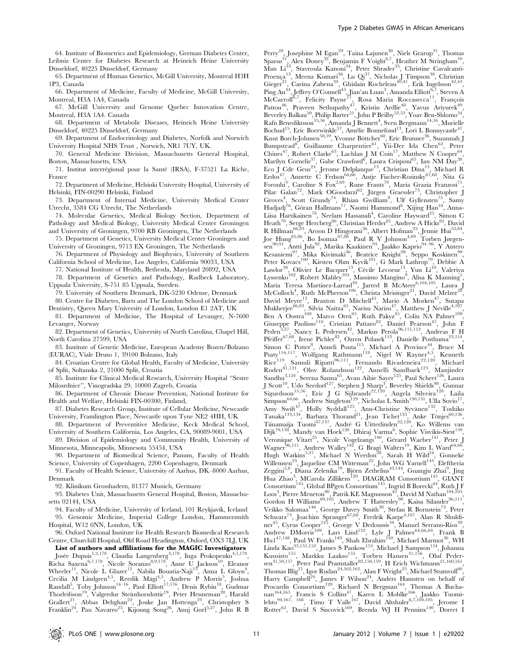64. Institute of Biometrics and Epidemiology, German Diabetes Center, Leibniz Center for Diabetes Research at Heinrich Heine University Düsseldorf, 40225 Düsseldorf, Germany

65. Department of Human Genetics, McGill University, Montreal H3H 1P3, Canada

66. Department of Medicine, Faculty of Medicine, McGill University, Montreal, H3A 1A4, Canada

67. McGill University and Genome Quebec Innovation Centre, Montreal, H3A 1A4. Canada

68. Department of Metabolic Diseases, Heinrich Heine University Düsseldorf, 40225 Düsseldorf, Germany

69. Department of Endocrinology and Diabetes, Norfolk and Norwich University Hospital NHS Trust , Norwich, NR1 7UY, UK.

70. General Medicine Division, Massachusetts General Hospital, Boston, Massachusetts, USA

71. Institut interrégional pour la Santé (IRSA), F-37521 La Riche, France

72. Department of Medicine, Helsinki University Hospital, University of Helsinki, FIN-00290 Helsinki, Finland

73. Department of Internal Medicine, University Medical Center Utrecht, 3584 CG Utrecht, The Netherlands

74. Molecular Genetics, Medical Biology Section, Department of Pathology and Medical Biology, University Medical Center Groningen and University of Groningen, 9700 RB Groningen, The Netherlands

75. Department of Genetics, University Medical Center Groningen and University of Groningen, 9713 EX Groningen, The Netherlands

76. Department of Physiology and Biophysics, University of Southern California School of Medicine, Los Angeles, California 90033, USA

77. National Institute of Health, Bethesda, Maryland 20892, USA

78. Department of Genetics and Pathology, Rudbeck Laboratory, Uppsala University, S-751 85 Uppsala, Sweden. 79. University of Southern Denmark, DK-5230 Odense, Denmark

80. Centre for Diabetes, Barts and The London School of Medicine and Dentistry, Queen Mary University of London, London E1 2AT, UK

81. Department of Medicine, The Hospital of Levanger, N-7600 Levanger, Norway

82. Department of Genetics, University of North Carolina, Chapel Hill, North Carolina 27599, USA

83. Institute of Genetic Medicine, European Academy Bozen/Bolzano (EURAC), Viale Druso 1, 39100 Bolzano, Italy

84. Croatian Centre for Global Health, Faculty of Medicine, University of Split, Soltanska 2, 21000 Split, Croatia

85. Institute for Clinical Medical Research, University Hospital ''Sestre Milosrdnice'', Vinogradska 29, 10000 Zagreb, Croatia

86. Department of Chronic Disease Prevention, National Institute for Health and Welfare, Helsinki FIN-00300, Finland,

87. Diabetes Research Group, Institute of Cellular Medicine, Newcastle University, Framlington Place, Newcastle upon Tyne NE2 4HH, UK

88. Department of Preventitive Medicine, Keck Medical School, University of Southern California, Los Angeles, CA, 90089-9001, USA

89. Division of Epidemiology and Community Health, University of Minnesota, Minneapolis, Minnesota 55454, USA

90. Department of Biomedical Science, Panum, Faculty of Health Science, University of Copenhagen, 2200 Copenhagen, Denmark

91. Faculty of Health Science, University of Aarhus, DK–8000 Aarhus, Denmark

92. Klinikum Grosshadern, 81377 Munich, Germany

93. Diabetes Unit, Massachusetts General Hospital, Boston, Massachusetts 02144, USA

94. Faculty of Medicine, University of Iceland, 101 Reykjavík, Iceland 95. Genomic Medicine, Imperial College London, Hammersmith Hospital, W12 0NN, London, UK

96. Oxford National Institute for Health Research Biomedical Research Centre, Churchill Hospital, Old Road Headington, Oxford, OX3 7LJ, UK

List of authors and affiliations for the MAGIC Investigators<br>Josée Dupuis<sup>1,2,178</sup>, Claudia Langenberg<sup>3,178</sup>, Inga Prokopenko<sup>4,5,178</sup>,

Richa Saxena<sup>6,7,178</sup>, Nicole Soranzo<sup>8,9,178</sup>, Anne U Jackson<sup>10</sup>, Eleanor Wheeler<sup>11</sup>, Nicole L Glazer<sup>12</sup>, Nabila Bouatia-Naji<sup>13</sup>, Anna L Gloyn<sup>4</sup>, Cecilia M Lindgren<sup>4,5</sup>, Reedik Mägi<sup>4,5</sup>, Andrew P Morris<sup>5</sup>, Joshua<br>Randall<sup>5</sup>, Toby Johnson<sup>14–16</sup>, Paul Elliott<sup>17,176</sup>, Denis Rybin<sup>18</sup>, Gudmar Thorleifsson<sup>19</sup>, Valgerdur Steinthorsdottir<sup>19</sup>, Peter Henneman<sup>20</sup>, Harald Grallert<sup>21</sup>, Abbas Dehghan<sup>22</sup>, Jouke Jan Hottenga<sup>23</sup>, Christopher S Franklin<sup>24</sup>, Pau Navarro<sup>25</sup>, Kijoung Song<sup>26</sup>, Anuj Goel<sup>5,27</sup>, John R B

Perry<sup>28</sup>, Josephine M Egan<sup>29</sup>, Taina Lajunen<sup>30</sup>, Niels Grarup<sup>31</sup>, Thomas Sparsø<sup>31</sup>, Alex Doney<sup>32</sup>, Benjamin F Voight<sup>6,7</sup>, Heather M Stringham<sup>10</sup>, Man Li<sup>33</sup>, Stavroula Kanoni<sup>34</sup>, Peter Shrader<sup>35</sup>, Christine Cavalcanti-Proença<sup>13</sup>, Meena Kumari<sup>36</sup>, Lu Qi<sup>37</sup>, Nicholas J Timpson<sup>38</sup>, Christian Gieger<sup>21</sup>, Carina Zabena<sup>39</sup>, Ghislain Rocheleau<sup>40,41</sup>, Erik Ingelsson<sup>42,43</sup>, Ping An<sup>44</sup>, Jeffrey O'Connell<sup>45</sup>, Jian'an Luan<sup>3</sup>, Amanda Elliott<sup>6,7</sup>, Steven A McCarroll<sup>6,7</sup>, Felicity Payne<sup>11</sup>, Rosa Maria Roccasecca<sup>11</sup>, François Pattou<sup>46</sup>, Praveen Sethupathy<sup>47</sup>, Kristin Ardlie<sup>48</sup>, Yavuz Ariyurek<sup>49</sup>, Beverley Balkau<sup>50</sup>, Philip Barter<sup>51</sup>, John P Beilby<sup>52,53</sup>, Yoav Ben-Shlomo<sup>54</sup>, Rafn Benediktsson<sup>55,56</sup>, Amanda J Bennett<sup>4</sup>, Sven Bergmann<sup>14,16</sup>, Murielle Bochud<sup>15</sup>, Eric Boerwinkle<sup>57</sup>, Amélie Bonnefond<sup>13</sup>, Lori L Bonnycastle<sup>47</sup>, Knut Borch-Johnsen<sup>58,59</sup>, Yvonne Böttcher<sup>60</sup>, Eric Brunner<sup>36</sup>, Suzannah J Bumpstead<sup>8</sup>, Guillaume Charpentier<sup>61</sup>, Yii-Der Ida Chen<sup>62</sup>, Peter  $Chines<sup>47</sup>$ , Robert Clarke<sup>63</sup>, Lachlan J M  $Coin<sup>17</sup>$ , Matthew N  $Cooper<sup>64</sup>$ , Marilyn Cornelis<sup>37</sup>, Gabe Crawford<sup>6</sup>, Laura Crisponi<sup>65</sup>, Ian NM Day<sup>38</sup>, Eco J Cde Geus<sup>23</sup>, Jerome Delplanque<sup>13</sup>, Christian Dina<sup>13</sup>, Michael R Erdos<sup>47</sup>, Annette C Fedson<sup>64,66</sup>, Antje Fischer-Rosinsky<sup>67,68</sup>, Nita G Forouhi<sup>3</sup>, Caroline S Fox<sup>2,69</sup>, Rune Frants<sup>70</sup>, Maria Grazia Franzosi<sup>71</sup>, Pilar Galan<sup>72</sup>, Mark OGoodarzi<sup>62</sup>, Jürgen Graessler<sup>73</sup>, Christopher J Groves<sup>4</sup>, Scott Grundy<sup>74</sup>, Rhian Gwilliam<sup>8</sup>, Ulf Gyllensten<sup>75</sup>, Samy Hadjadj<sup>76</sup>, Göran Hallmans<sup>77</sup>, Naomi Hammond<sup>8</sup>, Xijing Han<sup>10</sup>, Anna-Liisa Hartikainen<sup>78</sup>, Neelam Hassanali<sup>4</sup>, Caroline Hayward<sup>25</sup>, Simon C Heath<sup>79</sup>, Serge Hercberg<sup>80</sup>, Christian Herder<sup>81</sup>, Andrew A Hicks<sup>82</sup>, David R Hillman<sup>66,83</sup>, Aroon D Hingorani<sup>36</sup>, Albert Hofman<sup>22</sup>, Jennie Hui<sup>52,84</sup>, Joe Hung<sup>85,86</sup>, Bo Isomaa<sup>87,88</sup>, Paul R V Johnson<sup>4,89</sup>, Torben Jørgen- $\sin^{90,91}$ , Antti Jula<sup>92</sup>, Marika Kaakinen<sup>93</sup>, Jaakko Kaprio<sup>94–96</sup>, Y Antero Kesaniemi<sup>97</sup>, Mika Kivimaki<sup>36</sup>, Beatrice Knight<sup>98</sup>, Seppo Koskinen<sup>99</sup>, Peter Kovacs<sup>100</sup>, Kirsten Ohm Kyvik<sup>101</sup>, G Mark Lathrop<sup>79</sup>, Debbie A Lawlor<sup>38</sup>, Olivier Le Bacquer<sup>13</sup>, Cécile Lecoeur<sup>13</sup>, Yun Li<sup>10</sup>, Valeriya Lyssenko<sup>102</sup>, Robert Mahley<sup>103</sup>, Massimo Mangino<sup>9</sup>, Alisa K Manning<sup>1</sup>,<br>María Teresa Martínez-Larrad<sup>39</sup>, Jarred B McAteer<sup>6,104,105</sup>, Laura J McCulloch<sup>4</sup>, Ruth McPherson<sup>106</sup>, Christa Meisinger<sup>21</sup>, David Melzer<sup>28</sup>, David Meyre<sup>13</sup>, Braxton D Mitchell<sup>45</sup>, Mario A Morken<sup>47</sup>, Sutapa Mukherjee<sup>66,83</sup>, Silvia Naitza<sup>65</sup>, Narisu Narisu<sup>47</sup>, Matthew J Neville<sup>4,107</sup>, Ben A Oostra<sup>108</sup>, Marco Orrù<sup>65</sup>, Ruth Pakyz<sup>45</sup>, Colin NA Palmer<sup>109</sup>, Giuseppe Paolisso<sup>110</sup>, Cristian Pattaro<sup>82</sup>, Daniel Pearson<sup>47</sup>, John F Peden<sup>5,27</sup>, Nancy L Pedersen<sup>42</sup>, Markus Perola<sup>96,111,112</sup>, Andreas F H Pfeiffer<sup>67,68</sup>, Irene Pichler<sup>82</sup>, Ozren Polasek<sup>113</sup>, Danielle Posthuma<sup>23,114</sup>, Simon C Potter<sup>8</sup>, Anneli Pouta<sup>115</sup>, Michael A Province<sup>44</sup>, Bruce M Psaty<sup>116,117</sup>, Wolfgang Rathmann<sup>118</sup>, Nigel W Rayner<sup>4,5</sup>, Kenneth Rice<sup>119</sup>, Samuli Ripatti<sup>96,111</sup>, Fernando Rivadeneira<sup>22,120</sup>, Michael Roden<sup>81,121</sup>, Olov Rolandsson<sup>122</sup>, Annelli Sandbaek<sup>123</sup>, Manjinder Sandhu<sup>3,124</sup>, Serena Sanna<sup>65</sup>, Avan Aihie Sayer<sup>125</sup>, Paul Scheet<sup>126</sup>, Laura J Scott<sup>10</sup>, Udo Seedorf<sup>127</sup>, Stephen J Sharp<sup>3</sup>, Beverley Shields<sup>98</sup>, Gunnar Sigurdsson<sup>55,56</sup>, Eric J G Sijbrands<sup>22,120</sup>, Angela Silveira<sup>128</sup>, Laila  $Simpson^{64,66}$ , Andrew Singleton<sup>129</sup>, Nicholas L Smith<sup>130,131</sup>, Ulla Sovio<sup>17</sup>, Amy Swift<sup>47</sup>, Holly Syddall<sup>125</sup>, Ann-Christine Syvänen<sup>132</sup>, Toshiko Tanaka<sup>133,134</sup>, Barbara Thorand<sup>21</sup>, Jean Tichet<sup>135</sup>, Anke Tönjes<sup>60,136</sup>, Tiinamaija Tuomi<sup>87,137</sup>, André G Uitterlinden<sup>22,120</sup>, Ko Willems van Dijk<sup>70,138</sup>, Mandy van Hoek<sup>120</sup>, Dhiraj Varma<sup>8</sup>, Sophie Visvikis-Siest<sup>139</sup>, Veronique Vitart<sup>25</sup>, Nicole Vogelzangs<sup>140</sup>, Gérard Waeber<sup>141</sup>, Peter J Wagner<sup>96,111</sup>, Andrew Walley<sup>142</sup>, G Bragi Walters<sup>19</sup>, Kim L Ward<sup>64,66</sup>, Hugh Watkins<sup>5,27</sup>, Michael N Weedon<sup>28</sup>, Sarah H Wild<sup>24</sup>, Gonneke Hugh Watkins<sup>3,27</sup>, Michael N Weedon<sup>28</sup>, Sarah H Wild<sup>24</sup>, Gonneke<br>Willemsen<sup>23</sup>, Jaqueline CM Witteman<sup>22</sup>, John WG Yarnell<sup>143</sup>, Eleftheria Zeggini<sup>5,8</sup>, Diana Zelenika<sup>79</sup>, Björn Zethelius<sup>43,144</sup>, Guangju Zhai<sup>9</sup>, Jing<br>Hua Zhao<sup>3</sup>, MCarola Zillikens<sup>120</sup>, DIAGRAM Consortium<sup>145</sup>, GIANT Consortium<sup>145</sup>, Global BPgen Consortium<sup>145</sup>, Ingrid B Borecki<sup>44</sup>, Ruth J F Loos<sup>3</sup>, Pierre Meneton<sup>80</sup>, Patrik KE Magnusson<sup>42</sup>, David M Nathan<sup>104,105</sup>, Gordon H Williams<sup>69,105</sup>, Andrew T Hattersley<sup>98</sup>, Kaisa Silander<sup>96,111</sup>, Veikko Salomaa<sup>146</sup>, George Davey Smith<sup>38</sup>, Stefan R Bornstein<sup>73</sup>, Peter Schwarz<sup>73</sup>, Joachim Spranger<sup>67,68</sup>, Fredrik Karpe<sup>4,107</sup>, Alan R Shuldiner<sup>45</sup>, Cyrus Cooper<sup>125</sup>, George V Dedoussis<sup>34</sup>, Manuel Serrano-Ríos<sup>39</sup>, Andrew DMorris<sup>109</sup>, Lars Lind<sup>132</sup>, Lyle J Palmer<sup>64,66,84</sup>, Frank B Hu1<sup>47,148</sup>, Paul W Franks<sup>149</sup>, Shah Ebrahim<sup>150</sup>, Michael Marmot<sup>36</sup>, WH Linda Kao<sup>33,151,152</sup>, James S Pankow<sup>153</sup>, Michael J Sampson<sup>154</sup>, Johanna Kuusisto<sup>155</sup>, Markku Laakso<sup>155</sup>, Torben Hansen<sup>31,156</sup>, Oluf Pedersen<sup>31,59,157</sup>, Peter Paul Pramstaller<sup>82,158,159</sup>, H Erich Wichmann<sup>21,160,161</sup>, Thomas Illig<sup>21</sup>, Igor Rudan<sup>24,162,163</sup>, Alan F Wright<sup>25</sup>, Michael Stumvoll<sup>60</sup>, Harry Campbell<sup>24</sup>, James F Wilson<sup>24</sup>, Anders Hamsten on behalf of Procardis Consortium<sup>128</sup>, Richard N Bergman<sup>164</sup>, Thomas A Buchanan<sup>164,165</sup>, Francis S Collins<sup>47</sup>, Karen L Mohlke<sup>166</sup>, Jaakko Tuomilehto $^{94,167,168}$ , Timo T Valle<sup>167</sup>, David Altshuler<sup>6,7,104,105</sup>, Jerome I Rotter<sup>62</sup>, David S Siscovick<sup>169</sup>, Brenda WJ H Penninx<sup>140</sup>, Dorret I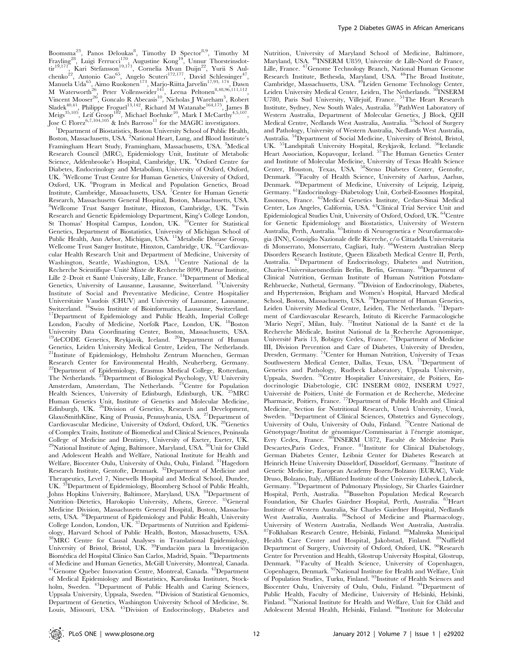Boomsma<sup>23</sup>, Panos Deloukas<sup>8</sup>, Timothy D Spector<sup>8,9</sup>, Timothy M Frayling<sup>28</sup>, Luigi Ferrucci<sup>170</sup>, Augustine Kong<sup>19</sup>, Unnur Thorsteinsdottir<sup>19,171</sup>, Kari Stefansson<sup>19,171</sup>, Cornelia Mvan Duijn<sup>22</sup>, Yurii S Aulchenko<sup>22</sup>, Antonio Cao<sup>65</sup>, Angelo Scuteri<sup>172,177</sup>, David Schlessinger<sup>47</sup>, Manuela Uda<sup>65</sup>, Aimo Ruokonen<sup>173</sup>, Marjo-Riitta Jarvelin<sup>17,93, 174</sup>, Dawn M Waterworth<sup>26</sup>, Peter Vollenweider<sup>141</sup>, Leena Peltonen<sup>8,48,96,111,112</sup>, Vincent Mooser<sup>26</sup>, Goncalo R Abecasis<sup>10</sup>, Nicholas J Wareham<sup>3</sup>, Robert Sladek<sup>40,41</sup>, Philippe Froguel<sup>13,142</sup>, Richard M Watanabe<sup>164,175</sup>, James B Meigs $^{35,105}$ , Leif Groop $^{102}$ , Michael Boehnke $^{10}$ , Mark I McCarthy $^{4,5,107}$ , Jose C Florez<sup>6,7,104,105</sup> & Inês Barroso<sup>11</sup> for the MAGIC investigators.

<sup>1</sup>Department of Biostatistics, Boston University School of Public Health, Boston, Massachusetts, USA. <sup>2</sup>National Heart, Lung, and Blood Institute's Framingham Heart Study, Framingham, Massachusetts, USA. <sup>3</sup>Medical Research Council (MRC), Epidemiology Unit, Institute of Metabolic Science, Addenbrooke's Hospital, Cambridge, UK. <sup>4</sup>Oxford Centre for Diabetes, Endocrinology and Metabolism, University of Oxford, Oxford, UK. <sup>5</sup>Wellcome Trust Centre for Human Genetics, University of Oxford, Oxford, UK. <sup>6</sup>Program in Medical and Population Genetics, Broad Institute, Cambridge, Massachusetts, USA. <sup>7</sup>Center for Human Genetic Research, Massachusetts General Hospital, Boston, Massachusetts, USA. <sup>8</sup>Wellcome Trust Sanger Institute, Hinxton, Cambridge, UK. <sup>9</sup> <sup>9</sup>Twin Research and Genetic Epidemiology Department, King's College London, St Thomas' Hospital Campus, London, UK. <sup>10</sup>Center for Statistical Genetics, Department of Biostatistics, University of Michigan School of Public Health, Ann Arbor, Michigan, USA. <sup>11</sup>Metabolic Disease Group, Wellcome Trust Sanger Institute, Hinxton, Cambridge, UK. <sup>12</sup>Cardiovascular Health Research Unit and Department of Medicine, University of Washington, Seattle, Washington, USA. 13Centre National de la Recherche Scientifique–Unité Mixte de Recherche 8090, Pasteur Institute,<br>Lille 2–Droit et Santé University, Lille, France. <sup>14</sup>Department of Medical Genetics, University of Lausanne, Lausanne, Switzerland. 15University Institute of Social and Preventative Medicine, Centre Hospitalier Universitaire Vaudois (CHUV) and University of Lausanne, Lausanne, Switzerland. <sup>16</sup>Swiss Institute of Bioinformatics, Lausanne, Switzerland. <sup>17</sup>Department of Epidemiology and Public Health, Imperial College London, Faculty of Medicine, Norfolk Place, London, UK. <sup>18</sup>Boston University Data Coordinating Center, Boston, Massachusetts, USA. <sup>19</sup>deCODE Genetics, Reykjavik, Iceland. <sup>20</sup>Department of Human Genetics, Leiden University Medical Centre, Leiden, The Netherlands. <sup>21</sup>Institute of Epidemiology, Helmholtz Zentrum Muenchen, German Research Center for Environmental Health, Neuherberg, Germany. <sup>22</sup>Department of Epidemiology, Erasmus Medical College, Rotterdam, The Netherlands. <sup>23</sup>Department of Biological Psychology, VU University Amsterdam, Amsterdam, The Netherlands. <sup>24</sup>Centre for Population Health Sciences, University of Edinburgh, Edinburgh, UK. <sup>25</sup>MRC Human Genetics Unit, Institute of Genetics and Molecular Medicine, Edinburgh, UK. <sup>26</sup>Division of Genetics, Research and Development, GlaxoSmithKline, King of Prussia, Pennsylvania, USA. 27Department of Cardiovascular Medicine, University of Oxford, Oxford, UK. 28Genetics of Complex Traits, Institute of Biomedical and Clinical Sciences, Peninsula College of Medicine and Dentistry, University of Exeter, Exeter, UK. <sup>29</sup>National Institute of Aging, Baltimore, Maryland, USA. <sup>30</sup>Unit for Child and Adolescent Health and Welfare, National Institute for Health and Welfare, Biocenter Oulu, University of Oulu, Oulu, Finland. 31Hagedorn Research Institute, Gentofte, Denmark. 32Department of Medicine and Therapeutics, Level 7, Ninewells Hospital and Medical School, Dundee, UK. 33Department of Epidemiology, Bloomberg School of Public Health, Johns Hopkins University, Baltimore, Maryland, USA. <sup>34</sup>Department of Nutrition–Dietetics, Harokopio University, Athens, Greece. 35General Medicine Division, Massachusetts General Hospital, Boston, Massachusetts, USA. <sup>36</sup>Department of Epidemiology and Public Health, University College London, London, UK. 37Departments of Nutrition and Epidemiology, Harvard School of Public Health, Boston, Massachusetts, USA. 38MRC Centre for Causal Analyses in Translational Epidemiology, University of Bristol, Bristol, UK. <sup>39</sup>Fundación para la Investigación Biomédica del Hospital Clínico San Carlos, Madrid, Spain. <sup>40</sup>Departments of Medicine and Human Genetics, McGill University, Montreal, Canada. 41Genome Quebec Innovation Centre, Montreal, Canada. 42Department of Medical Epidemiology and Biostatistics, Karolinska Institutet, Stockholm, Sweden. <sup>43</sup>Department of Public Health and Caring Sciences, Uppsala University, Uppsala, Sweden. 44Division of Statistical Genomics, Department of Genetics, Washington University School of Medicine, St. Louis, Missouri, USA. 45Division of Endocrinology, Diabetes and

Nutrition, University of Maryland School of Medicine, Baltimore, Maryland, USA. <sup>46</sup>INSERM U859, Universite de Lille-Nord de France, Lille, France. 47Genome Technology Branch, National Human Genome Research Institute, Bethesda, Maryland, USA. 48The Broad Institute, Cambridge, Massachusetts, USA. 49Leiden Genome Technology Center, Leiden University Medical Center, Leiden, The Netherlands. <sup>50</sup>INSERM U780, Paris Sud University, Villejuif, France. 51The Heart Research Institute, Sydney, New South Wales, Australia. 52PathWest Laboratory of Western Australia, Department of Molecular Genetics, J Block, QEII Medical Centre, Nedlands West Australia, Australia. 53School of Surgery and Pathology, University of Western Australia, Nedlands West Australia, Australia. 54Department of Social Medicine, University of Bristol, Bristol, UK. <sup>55</sup>Landspitali University Hospital, Reykjavik, Iceland. <sup>56</sup>Icelandic Heart Association, Kopavogur, Iceland. 57The Human Genetics Center and Institute of Molecular Medicine, University of Texas Health Science Center, Houston, Texas, USA. 58Steno Diabetes Center, Gentofte, Denmark. 59Faculty of Health Science, University of Aarhus, Aarhus, Denmark. 60Department of Medicine, University of Leipzig, Leipzig, Germany. 61Endocrinology–Diabetology Unit, Corbeil-Essonnes Hospital, Essonnes, France. 62Medical Genetics Institute, Cedars-Sinai Medical Center, Los Angeles, California, USA. 63Clinical Trial Service Unit and Epidemiological Studies Unit, University of Oxford, Oxford, UK.  $^{64}$ Centre for Genetic Epidemiology and Biostatistics, University of Western<br>Australia, Perth, Australia. <sup>65</sup>Istituto di Neurogenetica e Neurofarmacologia (INN), Consiglio Nazionale delle Ricerche, c/o Cittadella Universitaria<br>di Monserrato, Monserrato, Cagliari, Italy. <sup>66</sup>Western Australian Sleep Disorders Research Institute, Queen Elizabeth Medical Centre II, Perth, Australia. <sup>67</sup>Department of Endocrinology, Diabetes and Nutrition, Charite-Universitaetsmedizin Berlin, Berlin, Germany. 68Department of Clinical Nutrition, German Institute of Human Nutrition Potsdam-Rehbruecke, Nuthetal, Germany. 69Division of Endocrinology, Diabetes, and Hypertension, Brigham and Women's Hospital, Harvard Medical School, Boston, Massachusetts, USA.<sup>70</sup>Department of Human Genetics, Leiden University Medical Centre, Leiden, The Netherlands. 71Department of Cardiovascular Research, Istituto di Ricerche Farmacologiche 'Mario Negri', Milan, Italy. <sup>72</sup>Institut National de la Santé et de la Recherche Médicale, Institut National de la Recherche Agronomique,<br>Université Paris 13, Bobigny Cedex, France. <sup>73</sup>Department of Medicine III, Division Prevention and Care of Diabetes, University of Dresden, Dresden, Germany. 74Center for Human Nutrition, University of Texas Southwestern Medical Center, Dallas, Texas, USA. <sup>75</sup>Department of Genetics and Pathology, Rudbeck Laboratory, Uppsala University, Uppsala, Sweden. 76Centre Hospitalier Universitaire, de Poitiers, Endocrinologie Diabetologie, CIC INSERM 0802, INSERM U927, Université de Poitiers, Unité de Formation et de Recherche, Médecine<br>Pharmacie, Poitiers, France. <sup>77</sup>Department of Public Health and Clinical Medicine, Section for Nutritional Research, Umeå University, Umeå, Sweden. <sup>78</sup>Department of Clinical Sciences, Obstetrics and Gynecology, University of Oulu, University of Oulu, Finland. <sup>79</sup>Centre National de Génotypage/Institut de génomique/Commissariat à l'énergie atomique, Evry Cedex, France. <sup>80</sup>INSERM U872, Faculté de Médecine Paris Descartes,Paris Cedex, France. <sup>81</sup>Institute for Clinical Diabetology, German Diabetes Center, Leibniz Center for Diabetes Research at Heinrich Heine University Düsseldorf, Düsseldorf, Germany. 82Institute of Genetic Medicine, European Academy Bozen/Bolzano (EURAC), Viale Druso, Bolzano, Italy, Affiliated Institute of the University Lübeck, Lübeck, Germany. 83Department of Pulmonary Physiology, Sir Charles Gairdner Hospital, Perth, Australia. 84Busselton Population Medical Research Foundation, Sir Charles Gairdner Hospital, Perth, Australia. 85Heart Institute of Western Australia, Sir Charles Gairdner Hospital, Nedlands West Australia, Australia. <sup>86</sup>School of Medicine and Pharmacology, University of Western Australia, Nedlands West Australia, Australia. 87Folkhalsan Research Centre, Helsinki, Finland. 88Malmska Municipal Health Care Center and Hospital, Jakobstad, Finland. <sup>89</sup>Nuffield Department of Surgery, University of Oxford, Oxford, UK. <sup>90</sup>Research Centre for Prevention and Health, Glostrup University Hospital, Glostrup, Denmark. <sup>91</sup>Faculty of Health Science, University of Copenhagen, Copenhagen, Denmark. 92National Institute for Health and Welfare, Unit of Population Studies, Turku, Finland. <sup>93</sup>Institute of Health Sciences and Biocenter Oulu, University of Oulu, Oulu, Finland. 94Department of Public Health, Faculty of Medicine, University of Helsinki, Helsinki, Finland. 95National Institute for Health and Welfare, Unit for Child and Adolescent Mental Health, Helsinki, Finland. <sup>96</sup>Institute for Molecular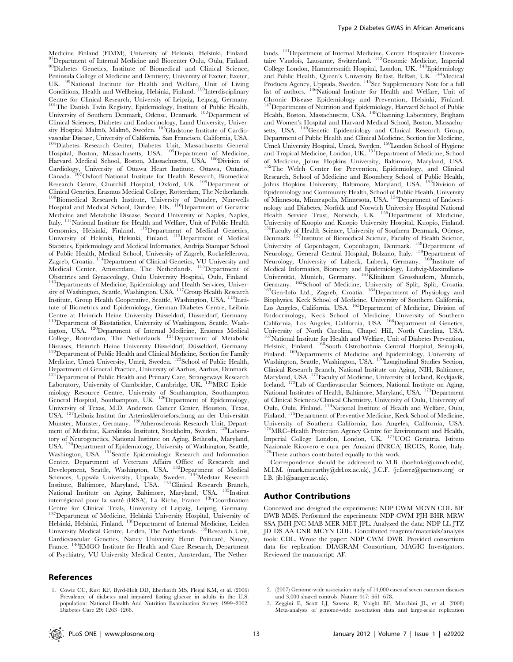Medicine Finland (FIMM), University of Helsinki, Helsinki, Finland. 97Department of Internal Medicine and Biocenter Oulu, Oulu, Finland. 98Diabetes Genetics, Institute of Biomedical and Clinical Science, Peninsula College of Medicine and Dentistry, University of Exeter, Exeter, UK. <sup>99</sup>National Institute for Health and Welfare, Unit of Living Conditions, Health and Wellbeing, Helsinki, Finland. <sup>100</sup>Interdisciplinary Centre for Clinical Research, University of Leipzig, Leipzig, Germany. <sup>101</sup>The Danish Twin Registry, Epidemiology, Institute of Public Health, University of Southern Denmark, Odense, Denmark. <sup>102</sup>Department of Clinical Sciences, Diabetes and Endocrinology, Lund University, Univer-<br>sity Hospital Malmö, Malmö, Sweden. <sup>103</sup>Gladstone Institute of Cardiovascular Disease, University of California, San Francisco, California, USA. 104Diabetes Research Center, Diabetes Unit, Massachusetts General Hospital, Boston, Massachusetts, USA. <sup>105</sup>Department of Medicine, Harvard Medical School, Boston, Massachusetts, USA. <sup>106</sup>Division of Cardiology, University of Ottawa Heart Institute, Ottawa, Ontario, Canada. 107Oxford National Institute for Health Research, Biomedical Research Centre, Churchill Hospital, Oxford, UK. 108Department of Clinical Genetics, Erasmus Medical College, Rotterdam, The Netherlands. <sup>109</sup>Biomedical Research Institute, University of Dundee, Ninewells Hospital and Medical School, Dundee, UK. <sup>110</sup>Department of Geriatric Medicine and Metabolic Disease, Second University of Naples, Naples, Italy. <sup>111</sup>National Institute for Health and Welfare, Unit of Public Health Genomics, Helsinki, Finland. 112Department of Medical Genetics, University of Helsinki, Helsinki, Finland. <sup>113</sup>Department of Medical Statistics, Epidemiology and Medical Informatics, Andrija Stampar School of Public Health, Medical School, University of Zagreb, Rockefellerova, Zagreb, Croatia. <sup>114</sup>Department of Clinical Genetics, VU University and Medical Center, Amsterdam, The Netherlands. 115Department of Obstetrics and Gynaecology, Oulu University Hospital, Oulu, Finland.<br><sup>116</sup>Departments of Medicine, Epidemiology and Health Services, University of Washington, Seattle, Washington, USA.<sup>117</sup>Group Health Research Institute, Group Health Cooperative, Seattle, Washington, USA. <sup>118</sup>Institute of Biometrics and Epidemiology, German Diabetes Centre, Leibniz <sup>119</sup>Department of Biostatistics, University of Washington, Seattle, Wash-Expariment of Biostanistics, Enversity of Washington, Example, Washington, USA. <sup>120</sup>Department of Internal Medicine, Erasmus Medical College, Rotterdam, The Netherlands. <sup>121</sup>Department of Metabolic Diseases, Heinrich Heine University Düsseldorf, Düsseldorf, Germany. Diseases, Heinrich Heine University Düsseldorf, Düsseldorf, Germany.<br><sup>122</sup>Department of Public Health and Clinical Medicine, Section for Family Medicine, Umeå University, Umeå, Sweden. <sup>123</sup>School of Public Health, Department of General Practice, University of Aarhus, Aarhus, Denmark. <sup>124</sup>Department of Public Health and Primary Care, Strangeways Research Laboratory, University of Cambridge, Cambridge, UK. 125MRC Epidemiology Resource Centre, University of Southampton, Southampton General Hospital, Southampton, UK. 126Department of Epidemiology, University of Texas, M.D. Anderson Cancer Center, Houston, Texas, USA. <sup>127</sup>Leibniz-Institut für Arterioskleroseforschung an der Universität Münster, Münster, Germany. <sup>128</sup>Atherosclerosis Research Unit, Department of Medicine, Karolinska Institutet, Stockholm, Sweden. <sup>129</sup>Laboratory of Neurogenetics, National Institute on Aging, Bethesda, Maryland, USA. 130Department of Epidemiology, University of Washington, Seattle, Washington, USA. <sup>131</sup>Seattle Epidemiologic Research and Information Center, Department of Veterans Affairs Office of Research and Development, Seattle, Washington, USA. 132Department of Medical Sciences, Uppsala University, Uppsala, Sweden. 133Medstar Research Institute, Baltimore, Maryland, USA. <sup>134</sup>Clinical Research Branch, National Institute on Aging, Baltimore, Maryland, USA. <sup>135</sup>Institut interrégional pour la santé (IRSA), La Riche, France. <sup>136</sup>Coordination Centre for Clinical Trials, University of Leipzig, Leipzig, Germany. <sup>137</sup>Department of Medicine, Helsinki University Hospital, University of Helsinki, Helsinki, Finland. 138Department of Internal Medicine, Leiden University Medical Centre, Leiden, The Netherlands. 139Research Unit, Cardiovascular Genetics, Nancy University Henri Poincaré, Nancy, France. <sup>140</sup>EMGO Institute for Health and Care Research, Department of Psychiatry, VU University Medical Center, Amsterdam, The Nether-

## References

1. Cowie CC, Rust KF, Byrd-Holt DD, Eberhardt MS, Flegal KM, et al. (2006) Prevalence of diabetes and impaired fasting glucose in adults in the U.S. population: National Health And Nutrition Examination Survey 1999–2002. Diabetes Care 29: 1263–1268.

lands. 141Department of Internal Medicine, Centre Hospitalier Universitaire Vaudois, Lausanne, Switzerland. 142Genomic Medicine, Imperial College London, Hammersmith Hospital, London, UK. 143Epidemiology and Public Health, Queen's University Belfast, Belfast, UK.<sup>144</sup>Medical Products Agency, Uppsala, Sweden. <sup>145</sup>See Supplementary Note for a full list of authors. <sup>146</sup>National Institute for Health and Welfare, Unit of Chronic Disease Epidemiology and Prevention, Helsinki, Finland. <sup>147</sup>Departments of Nutrition and Epidemiology, Harvard School of Public Health, Boston, Massachusetts, USA. <sup>148</sup>Channing Laboratory, Brigham and Women's Hospital and Harvard Medical School, Boston, Massachu-<br>setts, USA. <sup>149</sup>Genetic Epidemiology and Clinical Research Group, Department of Public Health and Clinical Medicine, Section for Medicine,<br>Umeå University Hospital, Umeå, Sweden. <sup>150</sup>London School of Hygiene and Tropical Medicine, London, UK. <sup>151</sup>Department of Medicine, School of Medicine, Johns Hopkins University, Baltimore, Maryland, USA. <sup>152</sup>The Welch Center for Prevention, Epidemiology, and Clinical Research, School of Medicine and Bloomberg School of Public Health, Johns Hopkins University, Baltimore, Maryland, USA. <sup>153</sup>Division of Epidemiology and Community Health, School of Public Health, University of Minnesota, Minneapolis, Minnesota, USA. 154Department of Endocrinology and Diabetes, Norfolk and Norwich University Hospital National Health Service Trust, Norwich, UK. <sup>155</sup>Department of Medicine, University of Kuopio and Kuopio University Hospital, Kuopio, Finland. <sup>66</sup>Faculty of Health Science, University of Southern Denmark, Odense, Denmark. 157Institute of Biomedical Science, Faculty of Health Science, University of Copenhagen, Copenhagen, Denmark. 158Department of Neurology, General Central Hospital, Bolzano, Italy. 159Department of Neurology, University of Lübeck, Lübeck, Germany. <sup>160</sup>Institute of Medical Informatics, Biometry and Epidemiology, Ludwig-Maximilians-Universität, Munich, Germany. <sup>161</sup>Klinikum Grosshadern, Munich, Germany. <sup>162</sup>School of Medicine, University of Split, Split, Croatia. <sup>163</sup>Gen-Info Ltd., Zagreb, Croatia. <sup>164</sup>Department of Physiology and Biophysics, Keck School of Medicine, University of Southern California, Los Angeles, California, USA. <sup>165</sup>Department of Medicine, Division of Endocrinology, Keck School of Medicine, University of Southern California, Los Angeles, California, USA. <sup>166</sup>Department of Genetics, University of North Carolina, Chapel Hill, North Carolina, USA. 167National Institute for Health and Welfare, Unit of Diabetes Prevention, Helsinki, Finland. 168South Ostrobothnia Central Hospital, Seinajoki, Finland. <sup>169</sup>Departments of Medicine and Epidemiology, University of Washington, Seattle, Washington, USA. <sup>170</sup>Longitudinal Studies Section, Clinical Research Branch, National Institute on Aging, NIH, Baltimore, Maryland, USA. <sup>171</sup>Faculty of Medicine, University of Iceland, Reykjavík, Iceland.  $172$ Lab of Cardiovascular Sciences, National Institute on Aging, National Institutes of Health, Baltimore, Maryland, USA.<sup>173</sup>Department of Clinical Sciences/Clinical Chemistry, University of Oulu, University of Oulu, Oulu, Finland. 174National Institute of Health and Welfare, Oulu, Finland. <sup>175</sup>Department of Preventive Medicine, Keck School of Medicine, University of Southern California, Los Angeles, California, USA. University of Southern California, Los Angeles, California, USA. <sup>176</sup>MRC–Health Protection Agency Centre for Environment and Health, Imperial College London, London, UK. 177UOC Geriatria, Istituto Nazionale Ricovero e cura per Anziani (INRCA) IRCCS, Rome, Italy. <sup>178</sup>These authors contributed equally to this work.

Correspondence should be addressed to M.B. (boehnke@umich.edu), M.I.M. (mark.mccarthy@drl.ox.ac.uk), J.C.F. (jcflorez@partners.org) or I.B. (ib1@sanger.ac.uk).

# Author Contributions

Conceived and designed the experiments: NDP CWM MCYN CDL BIF DWB MMS. Performed the experiments: NDP CWM PJH BHR MRW SSA JMH JNC MAB MER MET JPL. Analyzed the data: NDP LL JTZ JD DS AA CNR MCYN CDL. Contributed reagents/materials/analysis tools: CDL. Wrote the paper: NDP CWM DWB. Provided consortium data for replication: DIAGRAM Consortium, MAGIC Investigators. Reviewed the manuscript: AF.

- 2. (2007) Genome-wide association study of 14,000 cases of seven common diseases and 3,000 shared controls. Nature 447: 661–678.
- 3. Zeggini E, Scott LJ, Saxena R, Voight BF, Marchini JL, et al. (2008) Meta-analysis of genome-wide association data and large-scale replication